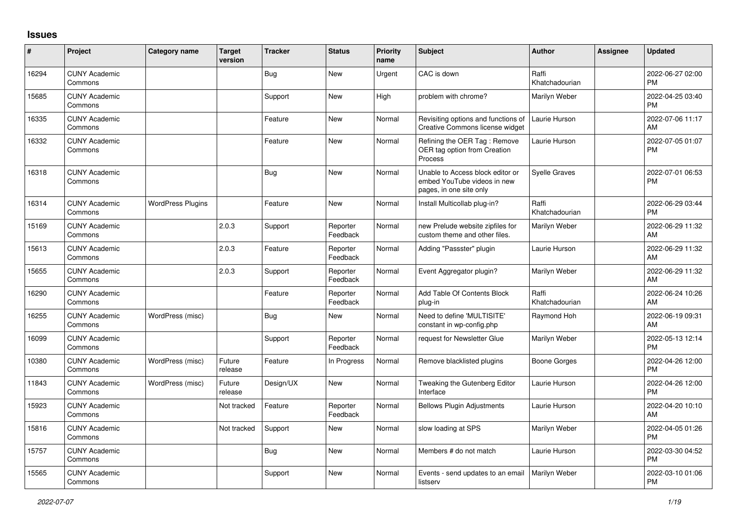## **Issues**

| #     | Project                         | <b>Category name</b>     | <b>Target</b><br>version | <b>Tracker</b> | <b>Status</b>        | <b>Priority</b><br>name | Subject                                                                                    | <b>Author</b>           | <b>Assignee</b> | <b>Updated</b>                |
|-------|---------------------------------|--------------------------|--------------------------|----------------|----------------------|-------------------------|--------------------------------------------------------------------------------------------|-------------------------|-----------------|-------------------------------|
| 16294 | <b>CUNY Academic</b><br>Commons |                          |                          | Bug            | <b>New</b>           | Urgent                  | CAC is down                                                                                | Raffi<br>Khatchadourian |                 | 2022-06-27 02:00<br><b>PM</b> |
| 15685 | <b>CUNY Academic</b><br>Commons |                          |                          | Support        | <b>New</b>           | High                    | problem with chrome?                                                                       | Marilyn Weber           |                 | 2022-04-25 03:40<br><b>PM</b> |
| 16335 | <b>CUNY Academic</b><br>Commons |                          |                          | Feature        | <b>New</b>           | Normal                  | Revisiting options and functions of<br>Creative Commons license widget                     | Laurie Hurson           |                 | 2022-07-06 11:17<br>AM        |
| 16332 | <b>CUNY Academic</b><br>Commons |                          |                          | Feature        | <b>New</b>           | Normal                  | Refining the OER Tag: Remove<br>OER tag option from Creation<br>Process                    | Laurie Hurson           |                 | 2022-07-05 01:07<br><b>PM</b> |
| 16318 | <b>CUNY Academic</b><br>Commons |                          |                          | Bug            | <b>New</b>           | Normal                  | Unable to Access block editor or<br>embed YouTube videos in new<br>pages, in one site only | Syelle Graves           |                 | 2022-07-01 06:53<br><b>PM</b> |
| 16314 | <b>CUNY Academic</b><br>Commons | <b>WordPress Plugins</b> |                          | Feature        | <b>New</b>           | Normal                  | Install Multicollab plug-in?                                                               | Raffi<br>Khatchadourian |                 | 2022-06-29 03:44<br><b>PM</b> |
| 15169 | <b>CUNY Academic</b><br>Commons |                          | 2.0.3                    | Support        | Reporter<br>Feedback | Normal                  | new Prelude website zipfiles for<br>custom theme and other files.                          | Marilyn Weber           |                 | 2022-06-29 11:32<br>AM        |
| 15613 | <b>CUNY Academic</b><br>Commons |                          | 2.0.3                    | Feature        | Reporter<br>Feedback | Normal                  | Adding "Passster" plugin                                                                   | Laurie Hurson           |                 | 2022-06-29 11:32<br>AM        |
| 15655 | <b>CUNY Academic</b><br>Commons |                          | 2.0.3                    | Support        | Reporter<br>Feedback | Normal                  | Event Aggregator plugin?                                                                   | Marilyn Weber           |                 | 2022-06-29 11:32<br>AM        |
| 16290 | <b>CUNY Academic</b><br>Commons |                          |                          | Feature        | Reporter<br>Feedback | Normal                  | Add Table Of Contents Block<br>plug-in                                                     | Raffi<br>Khatchadourian |                 | 2022-06-24 10:26<br>AM        |
| 16255 | <b>CUNY Academic</b><br>Commons | WordPress (misc)         |                          | <b>Bug</b>     | <b>New</b>           | Normal                  | Need to define 'MULTISITE'<br>constant in wp-config.php                                    | Raymond Hoh             |                 | 2022-06-19 09:31<br>AM        |
| 16099 | <b>CUNY Academic</b><br>Commons |                          |                          | Support        | Reporter<br>Feedback | Normal                  | request for Newsletter Glue                                                                | Marilyn Weber           |                 | 2022-05-13 12:14<br><b>PM</b> |
| 10380 | <b>CUNY Academic</b><br>Commons | WordPress (misc)         | Future<br>release        | Feature        | In Progress          | Normal                  | Remove blacklisted plugins                                                                 | <b>Boone Gorges</b>     |                 | 2022-04-26 12:00<br><b>PM</b> |
| 11843 | <b>CUNY Academic</b><br>Commons | WordPress (misc)         | Future<br>release        | Design/UX      | <b>New</b>           | Normal                  | Tweaking the Gutenberg Editor<br>Interface                                                 | Laurie Hurson           |                 | 2022-04-26 12:00<br><b>PM</b> |
| 15923 | <b>CUNY Academic</b><br>Commons |                          | Not tracked              | Feature        | Reporter<br>Feedback | Normal                  | <b>Bellows Plugin Adjustments</b>                                                          | Laurie Hurson           |                 | 2022-04-20 10:10<br>AM        |
| 15816 | <b>CUNY Academic</b><br>Commons |                          | Not tracked              | Support        | <b>New</b>           | Normal                  | slow loading at SPS                                                                        | Marilyn Weber           |                 | 2022-04-05 01:26<br><b>PM</b> |
| 15757 | <b>CUNY Academic</b><br>Commons |                          |                          | Bug            | <b>New</b>           | Normal                  | Members # do not match                                                                     | Laurie Hurson           |                 | 2022-03-30 04:52<br><b>PM</b> |
| 15565 | <b>CUNY Academic</b><br>Commons |                          |                          | Support        | <b>New</b>           | Normal                  | Events - send updates to an email<br>listserv                                              | Marilyn Weber           |                 | 2022-03-10 01:06<br>PM        |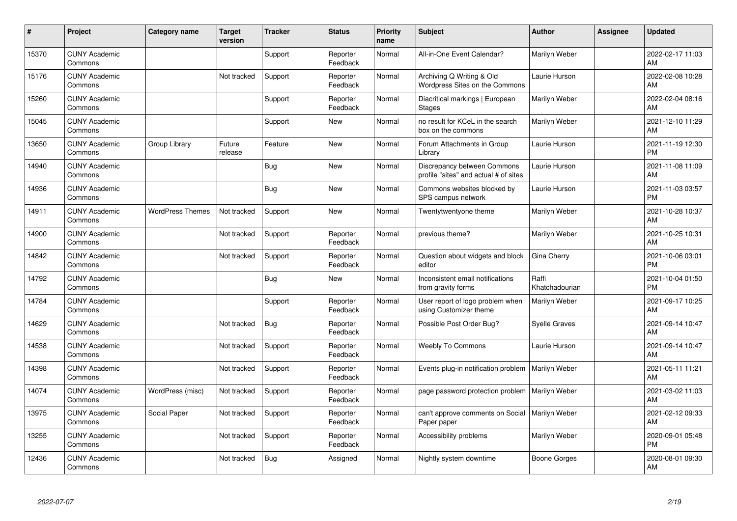| #     | Project                         | <b>Category name</b>    | <b>Target</b><br>version | <b>Tracker</b> | <b>Status</b>        | <b>Priority</b><br>name | <b>Subject</b>                                                       | <b>Author</b>           | <b>Assignee</b> | <b>Updated</b>                |
|-------|---------------------------------|-------------------------|--------------------------|----------------|----------------------|-------------------------|----------------------------------------------------------------------|-------------------------|-----------------|-------------------------------|
| 15370 | <b>CUNY Academic</b><br>Commons |                         |                          | Support        | Reporter<br>Feedback | Normal                  | All-in-One Event Calendar?                                           | Marilyn Weber           |                 | 2022-02-17 11:03<br>AM        |
| 15176 | <b>CUNY Academic</b><br>Commons |                         | Not tracked              | Support        | Reporter<br>Feedback | Normal                  | Archiving Q Writing & Old<br>Wordpress Sites on the Commons          | Laurie Hurson           |                 | 2022-02-08 10:28<br>AM        |
| 15260 | <b>CUNY Academic</b><br>Commons |                         |                          | Support        | Reporter<br>Feedback | Normal                  | Diacritical markings   European<br><b>Stages</b>                     | Marilyn Weber           |                 | 2022-02-04 08:16<br>AM        |
| 15045 | <b>CUNY Academic</b><br>Commons |                         |                          | Support        | <b>New</b>           | Normal                  | no result for KCeL in the search<br>box on the commons               | Marilyn Weber           |                 | 2021-12-10 11:29<br>AM        |
| 13650 | <b>CUNY Academic</b><br>Commons | Group Library           | Future<br>release        | Feature        | <b>New</b>           | Normal                  | Forum Attachments in Group<br>Library                                | Laurie Hurson           |                 | 2021-11-19 12:30<br>PM        |
| 14940 | <b>CUNY Academic</b><br>Commons |                         |                          | <b>Bug</b>     | <b>New</b>           | Normal                  | Discrepancy between Commons<br>profile "sites" and actual # of sites | Laurie Hurson           |                 | 2021-11-08 11:09<br>AM        |
| 14936 | <b>CUNY Academic</b><br>Commons |                         |                          | Bug            | New                  | Normal                  | Commons websites blocked by<br>SPS campus network                    | Laurie Hurson           |                 | 2021-11-03 03:57<br><b>PM</b> |
| 14911 | <b>CUNY Academic</b><br>Commons | <b>WordPress Themes</b> | Not tracked              | Support        | <b>New</b>           | Normal                  | Twentytwentyone theme                                                | Marilyn Weber           |                 | 2021-10-28 10:37<br>AM        |
| 14900 | <b>CUNY Academic</b><br>Commons |                         | Not tracked              | Support        | Reporter<br>Feedback | Normal                  | previous theme?                                                      | Marilyn Weber           |                 | 2021-10-25 10:31<br>AM        |
| 14842 | <b>CUNY Academic</b><br>Commons |                         | Not tracked              | Support        | Reporter<br>Feedback | Normal                  | Question about widgets and block<br>editor                           | Gina Cherry             |                 | 2021-10-06 03:01<br>PM        |
| 14792 | <b>CUNY Academic</b><br>Commons |                         |                          | Bug            | New                  | Normal                  | Inconsistent email notifications<br>from gravity forms               | Raffi<br>Khatchadourian |                 | 2021-10-04 01:50<br><b>PM</b> |
| 14784 | <b>CUNY Academic</b><br>Commons |                         |                          | Support        | Reporter<br>Feedback | Normal                  | User report of logo problem when<br>using Customizer theme           | Marilyn Weber           |                 | 2021-09-17 10:25<br>AM        |
| 14629 | <b>CUNY Academic</b><br>Commons |                         | Not tracked              | <b>Bug</b>     | Reporter<br>Feedback | Normal                  | Possible Post Order Bug?                                             | <b>Syelle Graves</b>    |                 | 2021-09-14 10:47<br>AM        |
| 14538 | <b>CUNY Academic</b><br>Commons |                         | Not tracked              | Support        | Reporter<br>Feedback | Normal                  | <b>Weebly To Commons</b>                                             | Laurie Hurson           |                 | 2021-09-14 10:47<br>AM        |
| 14398 | <b>CUNY Academic</b><br>Commons |                         | Not tracked              | Support        | Reporter<br>Feedback | Normal                  | Events plug-in notification problem                                  | Marilyn Weber           |                 | 2021-05-11 11:21<br>AM        |
| 14074 | <b>CUNY Academic</b><br>Commons | WordPress (misc)        | Not tracked              | Support        | Reporter<br>Feedback | Normal                  | page password protection problem   Marilyn Weber                     |                         |                 | 2021-03-02 11:03<br>AM        |
| 13975 | <b>CUNY Academic</b><br>Commons | Social Paper            | Not tracked              | Support        | Reporter<br>Feedback | Normal                  | can't approve comments on Social<br>Paper paper                      | Marilyn Weber           |                 | 2021-02-12 09:33<br>AM        |
| 13255 | <b>CUNY Academic</b><br>Commons |                         | Not tracked              | Support        | Reporter<br>Feedback | Normal                  | Accessibility problems                                               | Marilyn Weber           |                 | 2020-09-01 05:48<br><b>PM</b> |
| 12436 | <b>CUNY Academic</b><br>Commons |                         | Not tracked              | Bug            | Assigned             | Normal                  | Nightly system downtime                                              | Boone Gorges            |                 | 2020-08-01 09:30<br>AM        |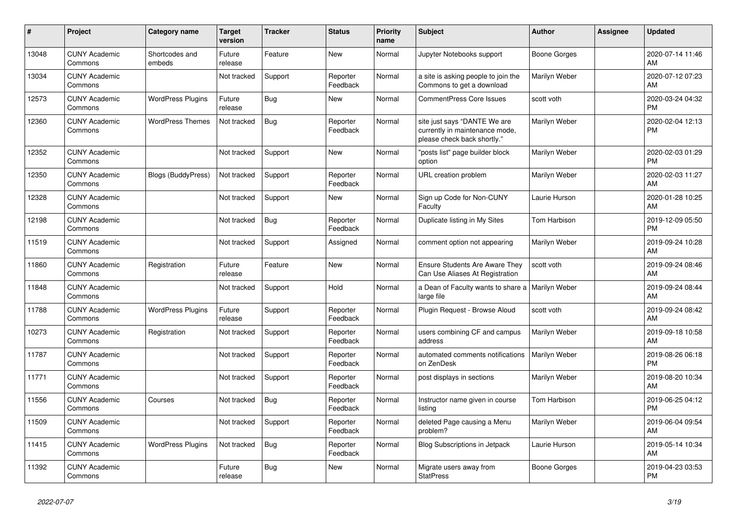| #     | <b>Project</b>                  | <b>Category name</b>     | <b>Target</b><br>version | <b>Tracker</b> | <b>Status</b>        | <b>Priority</b><br>name | <b>Subject</b>                                                                                | <b>Author</b>       | Assignee | <b>Updated</b>                |
|-------|---------------------------------|--------------------------|--------------------------|----------------|----------------------|-------------------------|-----------------------------------------------------------------------------------------------|---------------------|----------|-------------------------------|
| 13048 | <b>CUNY Academic</b><br>Commons | Shortcodes and<br>embeds | Future<br>release        | Feature        | New                  | Normal                  | Jupyter Notebooks support                                                                     | Boone Gorges        |          | 2020-07-14 11:46<br>AM        |
| 13034 | <b>CUNY Academic</b><br>Commons |                          | Not tracked              | Support        | Reporter<br>Feedback | Normal                  | a site is asking people to join the<br>Commons to get a download                              | Marilyn Weber       |          | 2020-07-12 07:23<br>AM        |
| 12573 | <b>CUNY Academic</b><br>Commons | <b>WordPress Plugins</b> | Future<br>release        | Bug            | New                  | Normal                  | <b>CommentPress Core Issues</b>                                                               | scott voth          |          | 2020-03-24 04:32<br><b>PM</b> |
| 12360 | <b>CUNY Academic</b><br>Commons | <b>WordPress Themes</b>  | Not tracked              | Bug            | Reporter<br>Feedback | Normal                  | site just says "DANTE We are<br>currently in maintenance mode,<br>please check back shortly." | Marilyn Weber       |          | 2020-02-04 12:13<br><b>PM</b> |
| 12352 | <b>CUNY Academic</b><br>Commons |                          | Not tracked              | Support        | New                  | Normal                  | "posts list" page builder block<br>option                                                     | Marilyn Weber       |          | 2020-02-03 01:29<br><b>PM</b> |
| 12350 | <b>CUNY Academic</b><br>Commons | Blogs (BuddyPress)       | Not tracked              | Support        | Reporter<br>Feedback | Normal                  | URL creation problem                                                                          | Marilyn Weber       |          | 2020-02-03 11:27<br>AM        |
| 12328 | <b>CUNY Academic</b><br>Commons |                          | Not tracked              | Support        | New                  | Normal                  | Sign up Code for Non-CUNY<br>Faculty                                                          | Laurie Hurson       |          | 2020-01-28 10:25<br>AM        |
| 12198 | <b>CUNY Academic</b><br>Commons |                          | Not tracked              | <b>Bug</b>     | Reporter<br>Feedback | Normal                  | Duplicate listing in My Sites                                                                 | <b>Tom Harbison</b> |          | 2019-12-09 05:50<br><b>PM</b> |
| 11519 | <b>CUNY Academic</b><br>Commons |                          | Not tracked              | Support        | Assigned             | Normal                  | comment option not appearing                                                                  | Marilyn Weber       |          | 2019-09-24 10:28<br>AM        |
| 11860 | <b>CUNY Academic</b><br>Commons | Registration             | Future<br>release        | Feature        | New                  | Normal                  | <b>Ensure Students Are Aware They</b><br>Can Use Aliases At Registration                      | scott voth          |          | 2019-09-24 08:46<br>AM        |
| 11848 | <b>CUNY Academic</b><br>Commons |                          | Not tracked              | Support        | Hold                 | Normal                  | a Dean of Faculty wants to share a   Marilyn Weber<br>large file                              |                     |          | 2019-09-24 08:44<br>AM        |
| 11788 | <b>CUNY Academic</b><br>Commons | <b>WordPress Plugins</b> | Future<br>release        | Support        | Reporter<br>Feedback | Normal                  | Plugin Request - Browse Aloud                                                                 | scott voth          |          | 2019-09-24 08:42<br>AM        |
| 10273 | <b>CUNY Academic</b><br>Commons | Registration             | Not tracked              | Support        | Reporter<br>Feedback | Normal                  | users combining CF and campus<br>address                                                      | Marilyn Weber       |          | 2019-09-18 10:58<br>AM        |
| 11787 | <b>CUNY Academic</b><br>Commons |                          | Not tracked              | Support        | Reporter<br>Feedback | Normal                  | automated comments notifications<br>on ZenDesk                                                | Marilyn Weber       |          | 2019-08-26 06:18<br><b>PM</b> |
| 11771 | <b>CUNY Academic</b><br>Commons |                          | Not tracked              | Support        | Reporter<br>Feedback | Normal                  | post displays in sections                                                                     | Marilyn Weber       |          | 2019-08-20 10:34<br>AM        |
| 11556 | <b>CUNY Academic</b><br>Commons | Courses                  | Not tracked              | Bug            | Reporter<br>Feedback | Normal                  | Instructor name given in course<br>listing                                                    | Tom Harbison        |          | 2019-06-25 04:12<br><b>PM</b> |
| 11509 | <b>CUNY Academic</b><br>Commons |                          | Not tracked              | Support        | Reporter<br>Feedback | Normal                  | deleted Page causing a Menu<br>problem?                                                       | Marilyn Weber       |          | 2019-06-04 09:54<br>AM        |
| 11415 | <b>CUNY Academic</b><br>Commons | <b>WordPress Plugins</b> | Not tracked              | <b>Bug</b>     | Reporter<br>Feedback | Normal                  | <b>Blog Subscriptions in Jetpack</b>                                                          | Laurie Hurson       |          | 2019-05-14 10:34<br>AM        |
| 11392 | <b>CUNY Academic</b><br>Commons |                          | Future<br>release        | Bug            | <b>New</b>           | Normal                  | Migrate users away from<br><b>StatPress</b>                                                   | Boone Gorges        |          | 2019-04-23 03:53<br><b>PM</b> |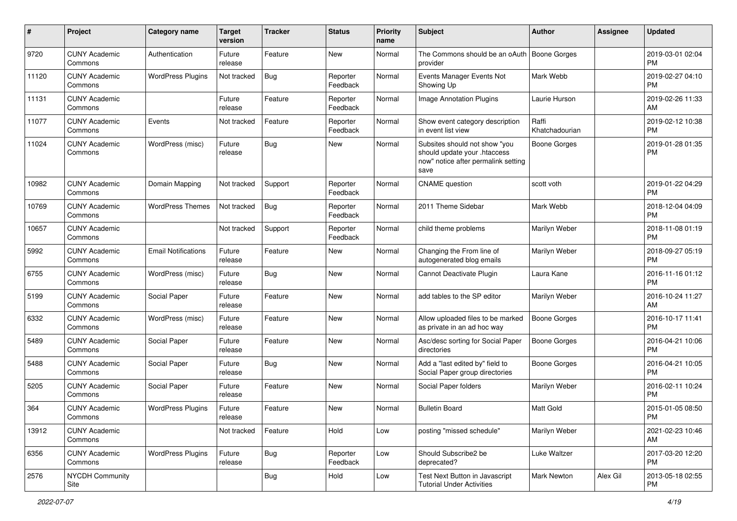| $\#$  | Project                         | <b>Category name</b>       | <b>Target</b><br>version | <b>Tracker</b> | <b>Status</b>        | <b>Priority</b><br>name | <b>Subject</b>                                                                                               | <b>Author</b>           | <b>Assignee</b> | <b>Updated</b>                |
|-------|---------------------------------|----------------------------|--------------------------|----------------|----------------------|-------------------------|--------------------------------------------------------------------------------------------------------------|-------------------------|-----------------|-------------------------------|
| 9720  | <b>CUNY Academic</b><br>Commons | Authentication             | Future<br>release        | Feature        | New                  | Normal                  | The Commons should be an oAuth   Boone Gorges<br>provider                                                    |                         |                 | 2019-03-01 02:04<br><b>PM</b> |
| 11120 | <b>CUNY Academic</b><br>Commons | <b>WordPress Plugins</b>   | Not tracked              | Bug            | Reporter<br>Feedback | Normal                  | Events Manager Events Not<br>Showing Up                                                                      | Mark Webb               |                 | 2019-02-27 04:10<br><b>PM</b> |
| 11131 | <b>CUNY Academic</b><br>Commons |                            | Future<br>release        | Feature        | Reporter<br>Feedback | Normal                  | <b>Image Annotation Plugins</b>                                                                              | Laurie Hurson           |                 | 2019-02-26 11:33<br>AM        |
| 11077 | <b>CUNY Academic</b><br>Commons | Events                     | Not tracked              | Feature        | Reporter<br>Feedback | Normal                  | Show event category description<br>in event list view                                                        | Raffi<br>Khatchadourian |                 | 2019-02-12 10:38<br><b>PM</b> |
| 11024 | <b>CUNY Academic</b><br>Commons | WordPress (misc)           | Future<br>release        | Bug            | New                  | Normal                  | Subsites should not show "you<br>should update your .htaccess<br>now" notice after permalink setting<br>save | <b>Boone Gorges</b>     |                 | 2019-01-28 01:35<br><b>PM</b> |
| 10982 | <b>CUNY Academic</b><br>Commons | Domain Mapping             | Not tracked              | Support        | Reporter<br>Feedback | Normal                  | <b>CNAME</b> question                                                                                        | scott voth              |                 | 2019-01-22 04:29<br><b>PM</b> |
| 10769 | <b>CUNY Academic</b><br>Commons | <b>WordPress Themes</b>    | Not tracked              | Bug            | Reporter<br>Feedback | Normal                  | 2011 Theme Sidebar                                                                                           | Mark Webb               |                 | 2018-12-04 04:09<br><b>PM</b> |
| 10657 | <b>CUNY Academic</b><br>Commons |                            | Not tracked              | Support        | Reporter<br>Feedback | Normal                  | child theme problems                                                                                         | Marilyn Weber           |                 | 2018-11-08 01:19<br><b>PM</b> |
| 5992  | <b>CUNY Academic</b><br>Commons | <b>Email Notifications</b> | Future<br>release        | Feature        | New                  | Normal                  | Changing the From line of<br>autogenerated blog emails                                                       | Marilyn Weber           |                 | 2018-09-27 05:19<br><b>PM</b> |
| 6755  | <b>CUNY Academic</b><br>Commons | WordPress (misc)           | Future<br>release        | <b>Bug</b>     | New                  | Normal                  | Cannot Deactivate Plugin                                                                                     | Laura Kane              |                 | 2016-11-16 01:12<br><b>PM</b> |
| 5199  | <b>CUNY Academic</b><br>Commons | Social Paper               | Future<br>release        | Feature        | New                  | Normal                  | add tables to the SP editor                                                                                  | Marilyn Weber           |                 | 2016-10-24 11:27<br>AM        |
| 6332  | <b>CUNY Academic</b><br>Commons | WordPress (misc)           | Future<br>release        | Feature        | New                  | Normal                  | Allow uploaded files to be marked<br>as private in an ad hoc way                                             | <b>Boone Gorges</b>     |                 | 2016-10-17 11:41<br><b>PM</b> |
| 5489  | <b>CUNY Academic</b><br>Commons | Social Paper               | Future<br>release        | Feature        | New                  | Normal                  | Asc/desc sorting for Social Paper<br>directories                                                             | Boone Gorges            |                 | 2016-04-21 10:06<br><b>PM</b> |
| 5488  | <b>CUNY Academic</b><br>Commons | Social Paper               | Future<br>release        | Bug            | New                  | Normal                  | Add a "last edited by" field to<br>Social Paper group directories                                            | <b>Boone Gorges</b>     |                 | 2016-04-21 10:05<br><b>PM</b> |
| 5205  | <b>CUNY Academic</b><br>Commons | Social Paper               | Future<br>release        | Feature        | New                  | Normal                  | Social Paper folders                                                                                         | Marilyn Weber           |                 | 2016-02-11 10:24<br><b>PM</b> |
| 364   | <b>CUNY Academic</b><br>Commons | <b>WordPress Plugins</b>   | Future<br>release        | Feature        | New                  | Normal                  | <b>Bulletin Board</b>                                                                                        | Matt Gold               |                 | 2015-01-05 08:50<br>PM        |
| 13912 | <b>CUNY Academic</b><br>Commons |                            | Not tracked              | Feature        | Hold                 | Low                     | posting "missed schedule"                                                                                    | Marilyn Weber           |                 | 2021-02-23 10:46<br>AM        |
| 6356  | <b>CUNY Academic</b><br>Commons | <b>WordPress Plugins</b>   | Future<br>release        | Bug            | Reporter<br>Feedback | Low                     | Should Subscribe2 be<br>deprecated?                                                                          | Luke Waltzer            |                 | 2017-03-20 12:20<br><b>PM</b> |
| 2576  | <b>NYCDH Community</b><br>Site  |                            |                          | Bug            | Hold                 | Low                     | Test Next Button in Javascript<br><b>Tutorial Under Activities</b>                                           | Mark Newton             | Alex Gil        | 2013-05-18 02:55<br><b>PM</b> |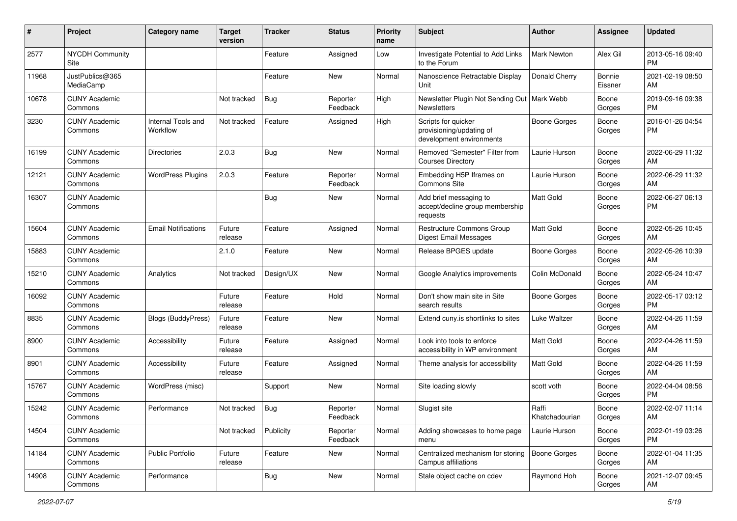| #     | Project                         | <b>Category name</b>           | <b>Target</b><br>version | <b>Tracker</b> | <b>Status</b>        | <b>Priority</b><br>name | <b>Subject</b>                                                              | Author                  | <b>Assignee</b>   | <b>Updated</b>                |
|-------|---------------------------------|--------------------------------|--------------------------|----------------|----------------------|-------------------------|-----------------------------------------------------------------------------|-------------------------|-------------------|-------------------------------|
| 2577  | <b>NYCDH Community</b><br>Site  |                                |                          | Feature        | Assigned             | Low                     | Investigate Potential to Add Links<br>to the Forum                          | <b>Mark Newton</b>      | Alex Gil          | 2013-05-16 09:40<br>PM        |
| 11968 | JustPublics@365<br>MediaCamp    |                                |                          | Feature        | New                  | Normal                  | Nanoscience Retractable Display<br>Unit                                     | Donald Cherry           | Bonnie<br>Eissner | 2021-02-19 08:50<br>AM        |
| 10678 | <b>CUNY Academic</b><br>Commons |                                | Not tracked              | Bug            | Reporter<br>Feedback | High                    | Newsletter Plugin Not Sending Out<br>Newsletters                            | Mark Webb               | Boone<br>Gorges   | 2019-09-16 09:38<br><b>PM</b> |
| 3230  | <b>CUNY Academic</b><br>Commons | Internal Tools and<br>Workflow | Not tracked              | Feature        | Assigned             | High                    | Scripts for quicker<br>provisioning/updating of<br>development environments | Boone Gorges            | Boone<br>Gorges   | 2016-01-26 04:54<br>PM        |
| 16199 | <b>CUNY Academic</b><br>Commons | <b>Directories</b>             | 2.0.3                    | Bug            | New                  | Normal                  | Removed "Semester" Filter from<br><b>Courses Directory</b>                  | Laurie Hurson           | Boone<br>Gorges   | 2022-06-29 11:32<br>AM        |
| 12121 | <b>CUNY Academic</b><br>Commons | <b>WordPress Plugins</b>       | 2.0.3                    | Feature        | Reporter<br>Feedback | Normal                  | Embedding H5P Iframes on<br>Commons Site                                    | Laurie Hurson           | Boone<br>Gorges   | 2022-06-29 11:32<br>AM        |
| 16307 | <b>CUNY Academic</b><br>Commons |                                |                          | <b>Bug</b>     | New                  | Normal                  | Add brief messaging to<br>accept/decline group membership<br>requests       | <b>Matt Gold</b>        | Boone<br>Gorges   | 2022-06-27 06:13<br>PM        |
| 15604 | <b>CUNY Academic</b><br>Commons | <b>Email Notifications</b>     | Future<br>release        | Feature        | Assigned             | Normal                  | Restructure Commons Group<br>Digest Email Messages                          | <b>Matt Gold</b>        | Boone<br>Gorges   | 2022-05-26 10:45<br>AM        |
| 15883 | <b>CUNY Academic</b><br>Commons |                                | 2.1.0                    | Feature        | New                  | Normal                  | Release BPGES update                                                        | <b>Boone Gorges</b>     | Boone<br>Gorges   | 2022-05-26 10:39<br>AM        |
| 15210 | <b>CUNY Academic</b><br>Commons | Analytics                      | Not tracked              | Design/UX      | New                  | Normal                  | Google Analytics improvements                                               | Colin McDonald          | Boone<br>Gorges   | 2022-05-24 10:47<br>AM        |
| 16092 | <b>CUNY Academic</b><br>Commons |                                | Future<br>release        | Feature        | Hold                 | Normal                  | Don't show main site in Site<br>search results                              | <b>Boone Gorges</b>     | Boone<br>Gorges   | 2022-05-17 03:12<br>PM        |
| 8835  | <b>CUNY Academic</b><br>Commons | <b>Blogs (BuddyPress)</b>      | Future<br>release        | Feature        | New                  | Normal                  | Extend cuny.is shortlinks to sites                                          | Luke Waltzer            | Boone<br>Gorges   | 2022-04-26 11:59<br>AM        |
| 8900  | <b>CUNY Academic</b><br>Commons | Accessibility                  | Future<br>release        | Feature        | Assigned             | Normal                  | Look into tools to enforce<br>accessibility in WP environment               | Matt Gold               | Boone<br>Gorges   | 2022-04-26 11:59<br>AM        |
| 8901  | <b>CUNY Academic</b><br>Commons | Accessibility                  | Future<br>release        | Feature        | Assigned             | Normal                  | Theme analysis for accessibility                                            | <b>Matt Gold</b>        | Boone<br>Gorges   | 2022-04-26 11:59<br>AM        |
| 15767 | <b>CUNY Academic</b><br>Commons | WordPress (misc)               |                          | Support        | New                  | Normal                  | Site loading slowly                                                         | scott voth              | Boone<br>Gorges   | 2022-04-04 08:56<br>PM        |
| 15242 | <b>CUNY Academic</b><br>Commons | Performance                    | Not tracked              | Bug            | Reporter<br>Feedback | Normal                  | Slugist site                                                                | Raffi<br>Khatchadourian | Boone<br>Gorges   | 2022-02-07 11:14<br>AM        |
| 14504 | <b>CUNY Academic</b><br>Commons |                                | Not tracked              | Publicity      | Reporter<br>Feedback | Normal                  | Adding showcases to home page<br>menu                                       | Laurie Hurson           | Boone<br>Gorges   | 2022-01-19 03:26<br>PM        |
| 14184 | <b>CUNY Academic</b><br>Commons | <b>Public Portfolio</b>        | Future<br>release        | Feature        | New                  | Normal                  | Centralized mechanism for storing<br>Campus affiliations                    | Boone Gorges            | Boone<br>Gorges   | 2022-01-04 11:35<br>AM        |
| 14908 | <b>CUNY Academic</b><br>Commons | Performance                    |                          | <b>Bug</b>     | New                  | Normal                  | Stale object cache on cdev                                                  | Raymond Hoh             | Boone<br>Gorges   | 2021-12-07 09:45<br>AM        |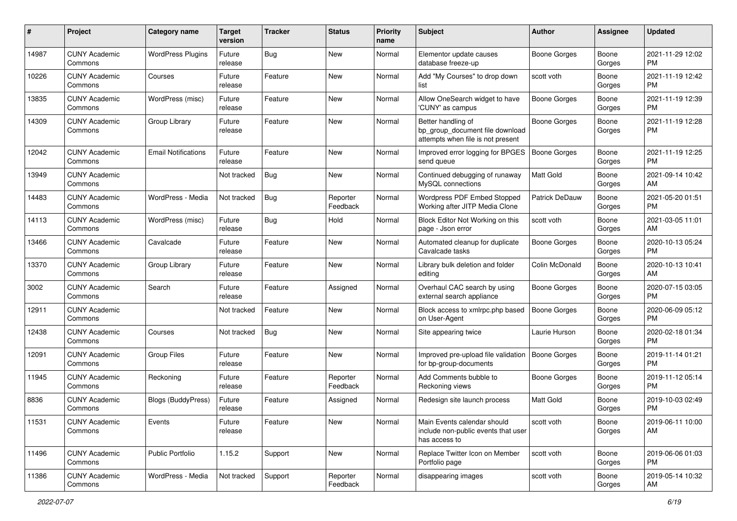| #     | Project                         | <b>Category name</b>       | <b>Target</b><br>version | <b>Tracker</b> | <b>Status</b>        | <b>Priority</b><br>name | <b>Subject</b>                                                                             | Author              | Assignee        | <b>Updated</b>                |
|-------|---------------------------------|----------------------------|--------------------------|----------------|----------------------|-------------------------|--------------------------------------------------------------------------------------------|---------------------|-----------------|-------------------------------|
| 14987 | <b>CUNY Academic</b><br>Commons | <b>WordPress Plugins</b>   | Future<br>release        | Bug            | New                  | Normal                  | Elementor update causes<br>database freeze-up                                              | Boone Gorges        | Boone<br>Gorges | 2021-11-29 12:02<br>PM        |
| 10226 | <b>CUNY Academic</b><br>Commons | Courses                    | Future<br>release        | Feature        | New                  | Normal                  | Add "My Courses" to drop down<br>list                                                      | scott voth          | Boone<br>Gorges | 2021-11-19 12:42<br>PM        |
| 13835 | <b>CUNY Academic</b><br>Commons | WordPress (misc)           | Future<br>release        | Feature        | New                  | Normal                  | Allow OneSearch widget to have<br>'CUNY' as campus                                         | Boone Gorges        | Boone<br>Gorges | 2021-11-19 12:39<br>PM        |
| 14309 | <b>CUNY Academic</b><br>Commons | Group Library              | Future<br>release        | Feature        | New                  | Normal                  | Better handling of<br>bp_group_document file download<br>attempts when file is not present | <b>Boone Gorges</b> | Boone<br>Gorges | 2021-11-19 12:28<br>PM        |
| 12042 | <b>CUNY Academic</b><br>Commons | <b>Email Notifications</b> | Future<br>release        | Feature        | New                  | Normal                  | Improved error logging for BPGES<br>send queue                                             | <b>Boone Gorges</b> | Boone<br>Gorges | 2021-11-19 12:25<br>PM        |
| 13949 | <b>CUNY Academic</b><br>Commons |                            | Not tracked              | <b>Bug</b>     | <b>New</b>           | Normal                  | Continued debugging of runaway<br>MySQL connections                                        | Matt Gold           | Boone<br>Gorges | 2021-09-14 10:42<br>AM        |
| 14483 | <b>CUNY Academic</b><br>Commons | WordPress - Media          | Not tracked              | <b>Bug</b>     | Reporter<br>Feedback | Normal                  | Wordpress PDF Embed Stopped<br>Working after JITP Media Clone                              | Patrick DeDauw      | Boone<br>Gorges | 2021-05-20 01:51<br>PM        |
| 14113 | <b>CUNY Academic</b><br>Commons | WordPress (misc)           | Future<br>release        | <b>Bug</b>     | Hold                 | Normal                  | Block Editor Not Working on this<br>page - Json error                                      | scott voth          | Boone<br>Gorges | 2021-03-05 11:01<br>AM        |
| 13466 | <b>CUNY Academic</b><br>Commons | Cavalcade                  | Future<br>release        | Feature        | <b>New</b>           | Normal                  | Automated cleanup for duplicate<br>Cavalcade tasks                                         | Boone Gorges        | Boone<br>Gorges | 2020-10-13 05:24<br>PM        |
| 13370 | <b>CUNY Academic</b><br>Commons | Group Library              | Future<br>release        | Feature        | New                  | Normal                  | Library bulk deletion and folder<br>editing                                                | Colin McDonald      | Boone<br>Gorges | 2020-10-13 10:41<br>AM        |
| 3002  | <b>CUNY Academic</b><br>Commons | Search                     | Future<br>release        | Feature        | Assigned             | Normal                  | Overhaul CAC search by using<br>external search appliance                                  | Boone Gorges        | Boone<br>Gorges | 2020-07-15 03:05<br>PM        |
| 12911 | <b>CUNY Academic</b><br>Commons |                            | Not tracked              | Feature        | New                  | Normal                  | Block access to xmlrpc.php based<br>on User-Agent                                          | Boone Gorges        | Boone<br>Gorges | 2020-06-09 05:12<br>PM        |
| 12438 | <b>CUNY Academic</b><br>Commons | Courses                    | Not tracked              | <b>Bug</b>     | New                  | Normal                  | Site appearing twice                                                                       | Laurie Hurson       | Boone<br>Gorges | 2020-02-18 01:34<br>PM        |
| 12091 | <b>CUNY Academic</b><br>Commons | Group Files                | Future<br>release        | Feature        | New                  | Normal                  | Improved pre-upload file validation<br>for bp-group-documents                              | <b>Boone Gorges</b> | Boone<br>Gorges | 2019-11-14 01:21<br>PM        |
| 11945 | <b>CUNY Academic</b><br>Commons | Reckoning                  | Future<br>release        | Feature        | Reporter<br>Feedback | Normal                  | Add Comments bubble to<br>Reckoning views                                                  | Boone Gorges        | Boone<br>Gorges | 2019-11-12 05:14<br>PM        |
| 8836  | <b>CUNY Academic</b><br>Commons | Blogs (BuddyPress)         | Future<br>release        | Feature        | Assigned             | Normal                  | Redesign site launch process                                                               | Matt Gold           | Boone<br>Gorges | 2019-10-03 02:49<br>PM        |
| 11531 | <b>CUNY Academic</b><br>Commons | Events                     | Future<br>release        | Feature        | New                  | Normal                  | Main Events calendar should<br>include non-public events that user<br>has access to        | scott voth          | Boone<br>Gorges | 2019-06-11 10:00<br>AM        |
| 11496 | <b>CUNY Academic</b><br>Commons | <b>Public Portfolio</b>    | 1.15.2                   | Support        | New                  | Normal                  | Replace Twitter Icon on Member<br>Portfolio page                                           | scott voth          | Boone<br>Gorges | 2019-06-06 01:03<br><b>PM</b> |
| 11386 | <b>CUNY Academic</b><br>Commons | WordPress - Media          | Not tracked              | Support        | Reporter<br>Feedback | Normal                  | disappearing images                                                                        | scott voth          | Boone<br>Gorges | 2019-05-14 10:32<br>AM        |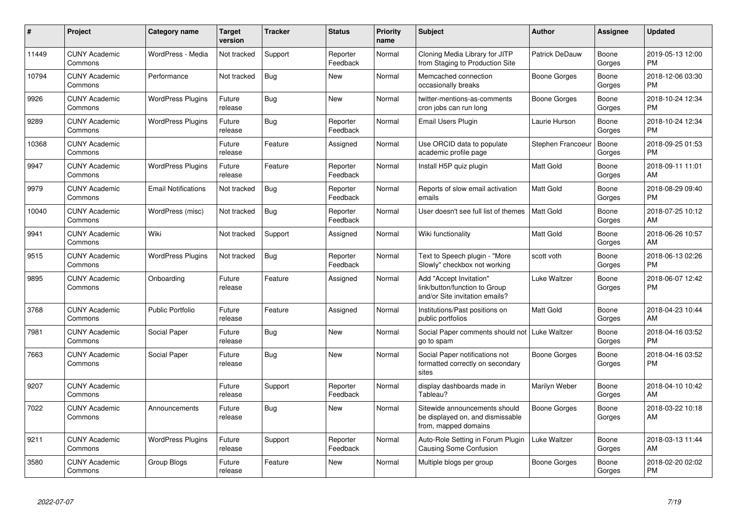| $\#$  | Project                         | Category name              | <b>Target</b><br>version | <b>Tracker</b> | <b>Status</b>        | <b>Priority</b><br>name | <b>Subject</b>                                                                             | <b>Author</b>         | Assignee        | <b>Updated</b>                |
|-------|---------------------------------|----------------------------|--------------------------|----------------|----------------------|-------------------------|--------------------------------------------------------------------------------------------|-----------------------|-----------------|-------------------------------|
| 11449 | <b>CUNY Academic</b><br>Commons | WordPress - Media          | Not tracked              | Support        | Reporter<br>Feedback | Normal                  | Cloning Media Library for JITP<br>from Staging to Production Site                          | <b>Patrick DeDauw</b> | Boone<br>Gorges | 2019-05-13 12:00<br><b>PM</b> |
| 10794 | <b>CUNY Academic</b><br>Commons | Performance                | Not tracked              | Bug            | New                  | Normal                  | Memcached connection<br>occasionally breaks                                                | Boone Gorges          | Boone<br>Gorges | 2018-12-06 03:30<br><b>PM</b> |
| 9926  | <b>CUNY Academic</b><br>Commons | <b>WordPress Plugins</b>   | Future<br>release        | <b>Bug</b>     | <b>New</b>           | Normal                  | twitter-mentions-as-comments<br>cron jobs can run long                                     | Boone Gorges          | Boone<br>Gorges | 2018-10-24 12:34<br><b>PM</b> |
| 9289  | <b>CUNY Academic</b><br>Commons | <b>WordPress Plugins</b>   | Future<br>release        | <b>Bug</b>     | Reporter<br>Feedback | Normal                  | Email Users Plugin                                                                         | Laurie Hurson         | Boone<br>Gorges | 2018-10-24 12:34<br><b>PM</b> |
| 10368 | <b>CUNY Academic</b><br>Commons |                            | Future<br>release        | Feature        | Assigned             | Normal                  | Use ORCID data to populate<br>academic profile page                                        | Stephen Francoeur     | Boone<br>Gorges | 2018-09-25 01:53<br>PM        |
| 9947  | <b>CUNY Academic</b><br>Commons | <b>WordPress Plugins</b>   | Future<br>release        | Feature        | Reporter<br>Feedback | Normal                  | Install H5P quiz plugin                                                                    | <b>Matt Gold</b>      | Boone<br>Gorges | 2018-09-11 11:01<br>AM        |
| 9979  | <b>CUNY Academic</b><br>Commons | <b>Email Notifications</b> | Not tracked              | <b>Bug</b>     | Reporter<br>Feedback | Normal                  | Reports of slow email activation<br>emails                                                 | <b>Matt Gold</b>      | Boone<br>Gorges | 2018-08-29 09:40<br><b>PM</b> |
| 10040 | <b>CUNY Academic</b><br>Commons | WordPress (misc)           | Not tracked              | Bug            | Reporter<br>Feedback | Normal                  | User doesn't see full list of themes                                                       | <b>Matt Gold</b>      | Boone<br>Gorges | 2018-07-25 10:12<br>AM        |
| 9941  | <b>CUNY Academic</b><br>Commons | Wiki                       | Not tracked              | Support        | Assigned             | Normal                  | Wiki functionality                                                                         | Matt Gold             | Boone<br>Gorges | 2018-06-26 10:57<br>AM        |
| 9515  | <b>CUNY Academic</b><br>Commons | <b>WordPress Plugins</b>   | Not tracked              | <b>Bug</b>     | Reporter<br>Feedback | Normal                  | Text to Speech plugin - "More<br>Slowly" checkbox not working                              | scott voth            | Boone<br>Gorges | 2018-06-13 02:26<br><b>PM</b> |
| 9895  | <b>CUNY Academic</b><br>Commons | Onboarding                 | Future<br>release        | Feature        | Assigned             | Normal                  | Add "Accept Invitation"<br>link/button/function to Group<br>and/or Site invitation emails? | Luke Waltzer          | Boone<br>Gorges | 2018-06-07 12:42<br>PM        |
| 3768  | <b>CUNY Academic</b><br>Commons | <b>Public Portfolio</b>    | Future<br>release        | Feature        | Assigned             | Normal                  | Institutions/Past positions on<br>public portfolios                                        | Matt Gold             | Boone<br>Gorges | 2018-04-23 10:44<br>AM        |
| 7981  | <b>CUNY Academic</b><br>Commons | Social Paper               | Future<br>release        | Bug            | <b>New</b>           | Normal                  | Social Paper comments should not   Luke Waltzer<br>go to spam                              |                       | Boone<br>Gorges | 2018-04-16 03:52<br><b>PM</b> |
| 7663  | <b>CUNY Academic</b><br>Commons | Social Paper               | Future<br>release        | Bug            | <b>New</b>           | Normal                  | Social Paper notifications not<br>formatted correctly on secondary<br>sites                | <b>Boone Gorges</b>   | Boone<br>Gorges | 2018-04-16 03:52<br><b>PM</b> |
| 9207  | <b>CUNY Academic</b><br>Commons |                            | Future<br>release        | Support        | Reporter<br>Feedback | Normal                  | display dashboards made in<br>Tableau?                                                     | Marilyn Weber         | Boone<br>Gorges | 2018-04-10 10:42<br>AM        |
| 7022  | <b>CUNY Academic</b><br>Commons | Announcements              | Future<br>release        | Bug            | <b>New</b>           | Normal                  | Sitewide announcements should<br>be displayed on, and dismissable<br>from, mapped domains  | <b>Boone Gorges</b>   | Boone<br>Gorges | 2018-03-22 10:18<br>AM        |
| 9211  | <b>CUNY Academic</b><br>Commons | <b>WordPress Plugins</b>   | Future<br>release        | Support        | Reporter<br>Feedback | Normal                  | Auto-Role Setting in Forum Plugin<br><b>Causing Some Confusion</b>                         | Luke Waltzer          | Boone<br>Gorges | 2018-03-13 11:44<br>AM        |
| 3580  | <b>CUNY Academic</b><br>Commons | Group Blogs                | Future<br>release        | Feature        | <b>New</b>           | Normal                  | Multiple blogs per group                                                                   | Boone Gorges          | Boone<br>Gorges | 2018-02-20 02:02<br>PM        |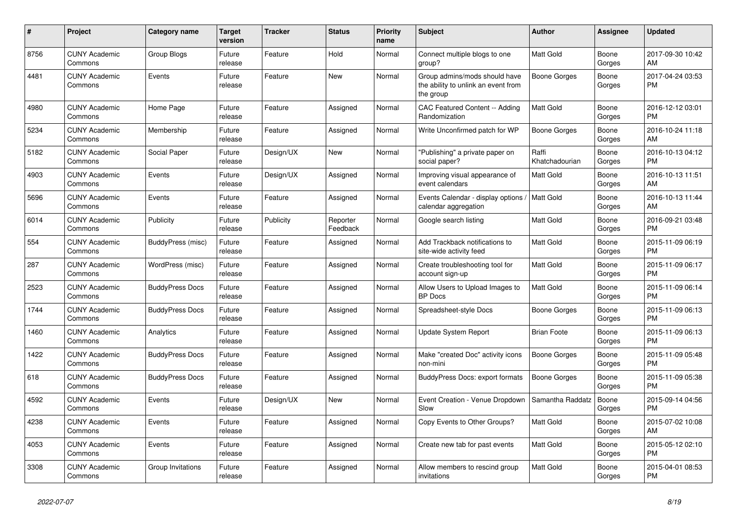| #    | <b>Project</b>                  | <b>Category name</b>   | <b>Target</b><br>version | <b>Tracker</b> | <b>Status</b>        | <b>Priority</b><br>name | <b>Subject</b>                                                                    | Author                  | Assignee        | <b>Updated</b>                |
|------|---------------------------------|------------------------|--------------------------|----------------|----------------------|-------------------------|-----------------------------------------------------------------------------------|-------------------------|-----------------|-------------------------------|
| 8756 | <b>CUNY Academic</b><br>Commons | Group Blogs            | Future<br>release        | Feature        | Hold                 | Normal                  | Connect multiple blogs to one<br>group?                                           | Matt Gold               | Boone<br>Gorges | 2017-09-30 10:42<br>AM        |
| 4481 | <b>CUNY Academic</b><br>Commons | Events                 | Future<br>release        | Feature        | New                  | Normal                  | Group admins/mods should have<br>the ability to unlink an event from<br>the group | Boone Gorges            | Boone<br>Gorges | 2017-04-24 03:53<br><b>PM</b> |
| 4980 | <b>CUNY Academic</b><br>Commons | Home Page              | Future<br>release        | Feature        | Assigned             | Normal                  | CAC Featured Content -- Adding<br>Randomization                                   | <b>Matt Gold</b>        | Boone<br>Gorges | 2016-12-12 03:01<br><b>PM</b> |
| 5234 | <b>CUNY Academic</b><br>Commons | Membership             | Future<br>release        | Feature        | Assigned             | Normal                  | Write Unconfirmed patch for WP                                                    | <b>Boone Gorges</b>     | Boone<br>Gorges | 2016-10-24 11:18<br>AM        |
| 5182 | <b>CUNY Academic</b><br>Commons | Social Paper           | Future<br>release        | Design/UX      | New                  | Normal                  | "Publishing" a private paper on<br>social paper?                                  | Raffi<br>Khatchadourian | Boone<br>Gorges | 2016-10-13 04:12<br><b>PM</b> |
| 4903 | <b>CUNY Academic</b><br>Commons | Events                 | Future<br>release        | Design/UX      | Assigned             | Normal                  | Improving visual appearance of<br>event calendars                                 | <b>Matt Gold</b>        | Boone<br>Gorges | 2016-10-13 11:51<br>AM        |
| 5696 | <b>CUNY Academic</b><br>Commons | Events                 | Future<br>release        | Feature        | Assigned             | Normal                  | Events Calendar - display options<br>calendar aggregation                         | Matt Gold               | Boone<br>Gorges | 2016-10-13 11:44<br>AM        |
| 6014 | <b>CUNY Academic</b><br>Commons | Publicity              | Future<br>release        | Publicity      | Reporter<br>Feedback | Normal                  | Google search listing                                                             | <b>Matt Gold</b>        | Boone<br>Gorges | 2016-09-21 03:48<br><b>PM</b> |
| 554  | <b>CUNY Academic</b><br>Commons | BuddyPress (misc)      | Future<br>release        | Feature        | Assigned             | Normal                  | Add Trackback notifications to<br>site-wide activity feed                         | <b>Matt Gold</b>        | Boone<br>Gorges | 2015-11-09 06:19<br><b>PM</b> |
| 287  | <b>CUNY Academic</b><br>Commons | WordPress (misc)       | Future<br>release        | Feature        | Assigned             | Normal                  | Create troubleshooting tool for<br>account sign-up                                | <b>Matt Gold</b>        | Boone<br>Gorges | 2015-11-09 06:17<br><b>PM</b> |
| 2523 | <b>CUNY Academic</b><br>Commons | <b>BuddyPress Docs</b> | Future<br>release        | Feature        | Assigned             | Normal                  | Allow Users to Upload Images to<br><b>BP</b> Docs                                 | <b>Matt Gold</b>        | Boone<br>Gorges | 2015-11-09 06:14<br><b>PM</b> |
| 1744 | <b>CUNY Academic</b><br>Commons | <b>BuddyPress Docs</b> | Future<br>release        | Feature        | Assigned             | Normal                  | Spreadsheet-style Docs                                                            | Boone Gorges            | Boone<br>Gorges | 2015-11-09 06:13<br><b>PM</b> |
| 1460 | <b>CUNY Academic</b><br>Commons | Analytics              | Future<br>release        | Feature        | Assigned             | Normal                  | Update System Report                                                              | <b>Brian Foote</b>      | Boone<br>Gorges | 2015-11-09 06:13<br><b>PM</b> |
| 1422 | <b>CUNY Academic</b><br>Commons | <b>BuddyPress Docs</b> | Future<br>release        | Feature        | Assigned             | Normal                  | Make "created Doc" activity icons<br>non-mini                                     | Boone Gorges            | Boone<br>Gorges | 2015-11-09 05:48<br><b>PM</b> |
| 618  | <b>CUNY Academic</b><br>Commons | <b>BuddyPress Docs</b> | Future<br>release        | Feature        | Assigned             | Normal                  | <b>BuddyPress Docs: export formats</b>                                            | Boone Gorges            | Boone<br>Gorges | 2015-11-09 05:38<br><b>PM</b> |
| 4592 | <b>CUNY Academic</b><br>Commons | Events                 | Future<br>release        | Design/UX      | New                  | Normal                  | Event Creation - Venue Dropdown<br>Slow                                           | Samantha Raddatz        | Boone<br>Gorges | 2015-09-14 04:56<br><b>PM</b> |
| 4238 | <b>CUNY Academic</b><br>Commons | Events                 | Future<br>release        | Feature        | Assigned             | Normal                  | Copy Events to Other Groups?                                                      | <b>Matt Gold</b>        | Boone<br>Gorges | 2015-07-02 10:08<br>AM        |
| 4053 | <b>CUNY Academic</b><br>Commons | Events                 | Future<br>release        | Feature        | Assigned             | Normal                  | Create new tab for past events                                                    | <b>Matt Gold</b>        | Boone<br>Gorges | 2015-05-12 02:10<br><b>PM</b> |
| 3308 | <b>CUNY Academic</b><br>Commons | Group Invitations      | Future<br>release        | Feature        | Assigned             | Normal                  | Allow members to rescind group<br>invitations                                     | Matt Gold               | Boone<br>Gorges | 2015-04-01 08:53<br><b>PM</b> |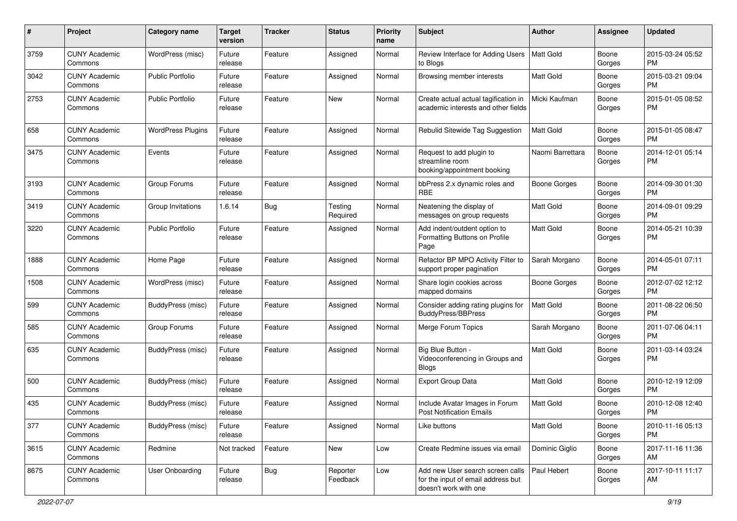| #    | Project                         | <b>Category name</b>     | <b>Target</b><br>version | <b>Tracker</b> | <b>Status</b>        | Priority<br>name | <b>Subject</b>                                                                                  | Author              | <b>Assignee</b> | <b>Updated</b>                |
|------|---------------------------------|--------------------------|--------------------------|----------------|----------------------|------------------|-------------------------------------------------------------------------------------------------|---------------------|-----------------|-------------------------------|
| 3759 | <b>CUNY Academic</b><br>Commons | WordPress (misc)         | Future<br>release        | Feature        | Assigned             | Normal           | Review Interface for Adding Users<br>to Blogs                                                   | <b>Matt Gold</b>    | Boone<br>Gorges | 2015-03-24 05:52<br><b>PM</b> |
| 3042 | <b>CUNY Academic</b><br>Commons | <b>Public Portfolio</b>  | Future<br>release        | Feature        | Assigned             | Normal           | Browsing member interests                                                                       | Matt Gold           | Boone<br>Gorges | 2015-03-21 09:04<br><b>PM</b> |
| 2753 | <b>CUNY Academic</b><br>Commons | <b>Public Portfolio</b>  | Future<br>release        | Feature        | New                  | Normal           | Create actual actual tagification in<br>academic interests and other fields                     | Micki Kaufman       | Boone<br>Gorges | 2015-01-05 08:52<br><b>PM</b> |
| 658  | <b>CUNY Academic</b><br>Commons | <b>WordPress Plugins</b> | Future<br>release        | Feature        | Assigned             | Normal           | Rebulid Sitewide Tag Suggestion                                                                 | <b>Matt Gold</b>    | Boone<br>Gorges | 2015-01-05 08:47<br><b>PM</b> |
| 3475 | <b>CUNY Academic</b><br>Commons | Events                   | Future<br>release        | Feature        | Assigned             | Normal           | Request to add plugin to<br>streamline room<br>booking/appointment booking                      | Naomi Barrettara    | Boone<br>Gorges | 2014-12-01 05:14<br><b>PM</b> |
| 3193 | <b>CUNY Academic</b><br>Commons | Group Forums             | Future<br>release        | Feature        | Assigned             | Normal           | bbPress 2.x dynamic roles and<br>RBE                                                            | Boone Gorges        | Boone<br>Gorges | 2014-09-30 01:30<br><b>PM</b> |
| 3419 | <b>CUNY Academic</b><br>Commons | Group Invitations        | 1.6.14                   | Bug            | Testing<br>Required  | Normal           | Neatening the display of<br>messages on group requests                                          | <b>Matt Gold</b>    | Boone<br>Gorges | 2014-09-01 09:29<br><b>PM</b> |
| 3220 | <b>CUNY Academic</b><br>Commons | <b>Public Portfolio</b>  | Future<br>release        | Feature        | Assigned             | Normal           | Add indent/outdent option to<br>Formatting Buttons on Profile<br>Page                           | Matt Gold           | Boone<br>Gorges | 2014-05-21 10:39<br><b>PM</b> |
| 1888 | <b>CUNY Academic</b><br>Commons | Home Page                | Future<br>release        | Feature        | Assigned             | Normal           | Refactor BP MPO Activity Filter to<br>support proper pagination                                 | Sarah Morgano       | Boone<br>Gorges | 2014-05-01 07:11<br><b>PM</b> |
| 1508 | <b>CUNY Academic</b><br>Commons | WordPress (misc)         | Future<br>release        | Feature        | Assigned             | Normal           | Share login cookies across<br>mapped domains                                                    | <b>Boone Gorges</b> | Boone<br>Gorges | 2012-07-02 12:12<br><b>PM</b> |
| 599  | <b>CUNY Academic</b><br>Commons | BuddyPress (misc)        | Future<br>release        | Feature        | Assigned             | Normal           | Consider adding rating plugins for<br><b>BuddyPress/BBPress</b>                                 | <b>Matt Gold</b>    | Boone<br>Gorges | 2011-08-22 06:50<br><b>PM</b> |
| 585  | <b>CUNY Academic</b><br>Commons | Group Forums             | Future<br>release        | Feature        | Assigned             | Normal           | Merge Forum Topics                                                                              | Sarah Morgano       | Boone<br>Gorges | 2011-07-06 04:11<br><b>PM</b> |
| 635  | <b>CUNY Academic</b><br>Commons | BuddyPress (misc)        | Future<br>release        | Feature        | Assigned             | Normal           | Big Blue Button -<br>Videoconferencing in Groups and<br><b>Blogs</b>                            | <b>Matt Gold</b>    | Boone<br>Gorges | 2011-03-14 03:24<br><b>PM</b> |
| 500  | <b>CUNY Academic</b><br>Commons | BuddyPress (misc)        | Future<br>release        | Feature        | Assigned             | Normal           | <b>Export Group Data</b>                                                                        | Matt Gold           | Boone<br>Gorges | 2010-12-19 12:09<br><b>PM</b> |
| 435  | <b>CUNY Academic</b><br>Commons | BuddyPress (misc)        | Future<br>release        | Feature        | Assigned             | Normal           | Include Avatar Images in Forum<br><b>Post Notification Emails</b>                               | <b>Matt Gold</b>    | Boone<br>Gorges | 2010-12-08 12:40<br><b>PM</b> |
| 377  | <b>CUNY Academic</b><br>Commons | BuddyPress (misc)        | Future<br>release        | Feature        | Assigned             | Normal           | Like buttons                                                                                    | Matt Gold           | Boone<br>Gorges | 2010-11-16 05:13<br><b>PM</b> |
| 3615 | <b>CUNY Academic</b><br>Commons | Redmine                  | Not tracked              | Feature        | New                  | Low              | Create Redmine issues via email                                                                 | Dominic Giglio      | Boone<br>Gorges | 2017-11-16 11:36<br>AM        |
| 8675 | <b>CUNY Academic</b><br>Commons | <b>User Onboarding</b>   | Future<br>release        | Bug            | Reporter<br>Feedback | Low              | Add new User search screen calls<br>for the input of email address but<br>doesn't work with one | Paul Hebert         | Boone<br>Gorges | 2017-10-11 11:17<br>AM        |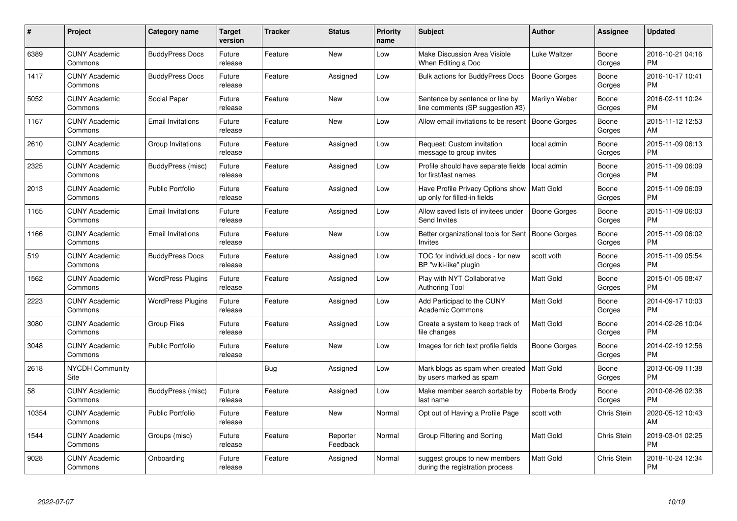| $\#$  | Project                         | Category name            | <b>Target</b><br>version | Tracker    | <b>Status</b>        | <b>Priority</b><br>name | <b>Subject</b>                                                      | <b>Author</b>       | Assignee           | <b>Updated</b>                |
|-------|---------------------------------|--------------------------|--------------------------|------------|----------------------|-------------------------|---------------------------------------------------------------------|---------------------|--------------------|-------------------------------|
| 6389  | <b>CUNY Academic</b><br>Commons | <b>BuddyPress Docs</b>   | Future<br>release        | Feature    | <b>New</b>           | Low                     | Make Discussion Area Visible<br>When Editing a Doc                  | Luke Waltzer        | Boone<br>Gorges    | 2016-10-21 04:16<br>PM        |
| 1417  | <b>CUNY Academic</b><br>Commons | <b>BuddyPress Docs</b>   | Future<br>release        | Feature    | Assigned             | Low                     | <b>Bulk actions for BuddyPress Docs</b>                             | <b>Boone Gorges</b> | Boone<br>Gorges    | 2016-10-17 10:41<br><b>PM</b> |
| 5052  | <b>CUNY Academic</b><br>Commons | Social Paper             | Future<br>release        | Feature    | New                  | Low                     | Sentence by sentence or line by<br>line comments (SP suggestion #3) | Marilyn Weber       | Boone<br>Gorges    | 2016-02-11 10:24<br><b>PM</b> |
| 1167  | <b>CUNY Academic</b><br>Commons | <b>Email Invitations</b> | Future<br>release        | Feature    | New                  | Low                     | Allow email invitations to be resent                                | <b>Boone Gorges</b> | Boone<br>Gorges    | 2015-11-12 12:53<br>AM        |
| 2610  | <b>CUNY Academic</b><br>Commons | Group Invitations        | Future<br>release        | Feature    | Assigned             | Low                     | Request: Custom invitation<br>message to group invites              | local admin         | Boone<br>Gorges    | 2015-11-09 06:13<br><b>PM</b> |
| 2325  | <b>CUNY Academic</b><br>Commons | BuddyPress (misc)        | Future<br>release        | Feature    | Assigned             | Low                     | Profile should have separate fields<br>for first/last names         | local admin         | Boone<br>Gorges    | 2015-11-09 06:09<br><b>PM</b> |
| 2013  | <b>CUNY Academic</b><br>Commons | <b>Public Portfolio</b>  | Future<br>release        | Feature    | Assigned             | Low                     | Have Profile Privacy Options show<br>up only for filled-in fields   | Matt Gold           | Boone<br>Gorges    | 2015-11-09 06:09<br>PM        |
| 1165  | <b>CUNY Academic</b><br>Commons | <b>Email Invitations</b> | Future<br>release        | Feature    | Assigned             | Low                     | Allow saved lists of invitees under<br>Send Invites                 | <b>Boone Gorges</b> | Boone<br>Gorges    | 2015-11-09 06:03<br><b>PM</b> |
| 1166  | <b>CUNY Academic</b><br>Commons | <b>Email Invitations</b> | Future<br>release        | Feature    | <b>New</b>           | Low                     | Better organizational tools for Sent<br>Invites                     | Boone Gorges        | Boone<br>Gorges    | 2015-11-09 06:02<br><b>PM</b> |
| 519   | <b>CUNY Academic</b><br>Commons | <b>BuddyPress Docs</b>   | Future<br>release        | Feature    | Assigned             | Low                     | TOC for individual docs - for new<br>BP "wiki-like" plugin          | scott voth          | Boone<br>Gorges    | 2015-11-09 05:54<br>PM        |
| 1562  | <b>CUNY Academic</b><br>Commons | <b>WordPress Plugins</b> | Future<br>release        | Feature    | Assigned             | Low                     | Play with NYT Collaborative<br><b>Authoring Tool</b>                | <b>Matt Gold</b>    | Boone<br>Gorges    | 2015-01-05 08:47<br>PM        |
| 2223  | <b>CUNY Academic</b><br>Commons | <b>WordPress Plugins</b> | Future<br>release        | Feature    | Assigned             | Low                     | Add Participad to the CUNY<br><b>Academic Commons</b>               | <b>Matt Gold</b>    | Boone<br>Gorges    | 2014-09-17 10:03<br><b>PM</b> |
| 3080  | <b>CUNY Academic</b><br>Commons | <b>Group Files</b>       | Future<br>release        | Feature    | Assigned             | Low                     | Create a system to keep track of<br>file changes                    | <b>Matt Gold</b>    | Boone<br>Gorges    | 2014-02-26 10:04<br>PM        |
| 3048  | <b>CUNY Academic</b><br>Commons | <b>Public Portfolio</b>  | Future<br>release        | Feature    | <b>New</b>           | Low                     | Images for rich text profile fields                                 | Boone Gorges        | Boone<br>Gorges    | 2014-02-19 12:56<br>PM        |
| 2618  | <b>NYCDH Community</b><br>Site  |                          |                          | <b>Bug</b> | Assigned             | Low                     | Mark blogs as spam when created<br>by users marked as spam          | Matt Gold           | Boone<br>Gorges    | 2013-06-09 11:38<br>PM        |
| 58    | <b>CUNY Academic</b><br>Commons | BuddyPress (misc)        | Future<br>release        | Feature    | Assigned             | Low                     | Make member search sortable by<br>last name                         | Roberta Brody       | Boone<br>Gorges    | 2010-08-26 02:38<br><b>PM</b> |
| 10354 | <b>CUNY Academic</b><br>Commons | <b>Public Portfolio</b>  | Future<br>release        | Feature    | New                  | Normal                  | Opt out of Having a Profile Page                                    | scott voth          | Chris Stein        | 2020-05-12 10:43<br>AM        |
| 1544  | <b>CUNY Academic</b><br>Commons | Groups (misc)            | Future<br>release        | Feature    | Reporter<br>Feedback | Normal                  | Group Filtering and Sorting                                         | Matt Gold           | Chris Stein        | 2019-03-01 02:25<br><b>PM</b> |
| 9028  | <b>CUNY Academic</b><br>Commons | Onboarding               | Future<br>release        | Feature    | Assigned             | Normal                  | suggest groups to new members<br>during the registration process    | <b>Matt Gold</b>    | <b>Chris Stein</b> | 2018-10-24 12:34<br>PM        |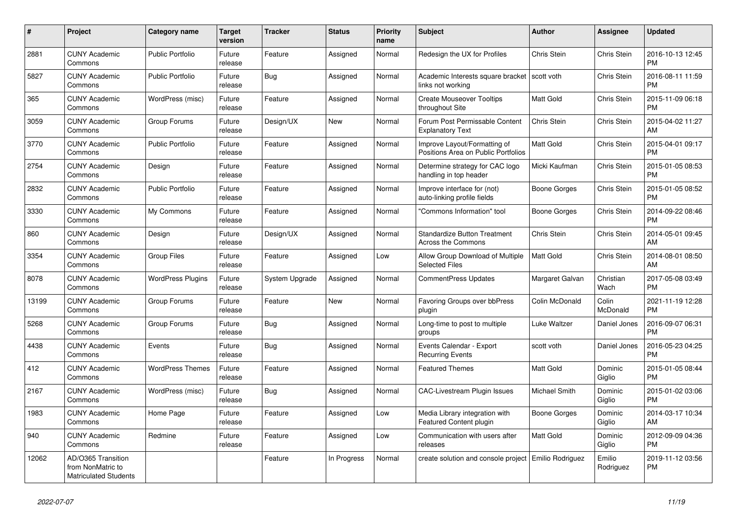| #     | Project                                                                 | <b>Category name</b>     | <b>Target</b><br>version | <b>Tracker</b>        | <b>Status</b> | <b>Priority</b><br>name | <b>Subject</b>                                                      | <b>Author</b>    | Assignee                 | <b>Updated</b>                |
|-------|-------------------------------------------------------------------------|--------------------------|--------------------------|-----------------------|---------------|-------------------------|---------------------------------------------------------------------|------------------|--------------------------|-------------------------------|
| 2881  | <b>CUNY Academic</b><br>Commons                                         | <b>Public Portfolio</b>  | Future<br>release        | Feature               | Assigned      | Normal                  | Redesign the UX for Profiles                                        | Chris Stein      | <b>Chris Stein</b>       | 2016-10-13 12:45<br><b>PM</b> |
| 5827  | <b>CUNY Academic</b><br>Commons                                         | <b>Public Portfolio</b>  | Future<br>release        | Bug                   | Assigned      | Normal                  | Academic Interests square bracket   scott voth<br>links not working |                  | Chris Stein              | 2016-08-11 11:59<br><b>PM</b> |
| 365   | <b>CUNY Academic</b><br>Commons                                         | WordPress (misc)         | Future<br>release        | Feature               | Assigned      | Normal                  | <b>Create Mouseover Tooltips</b><br>throughout Site                 | Matt Gold        | Chris Stein              | 2015-11-09 06:18<br><b>PM</b> |
| 3059  | <b>CUNY Academic</b><br>Commons                                         | Group Forums             | Future<br>release        | Design/UX             | <b>New</b>    | Normal                  | Forum Post Permissable Content<br><b>Explanatory Text</b>           | Chris Stein      | Chris Stein              | 2015-04-02 11:27<br>AM        |
| 3770  | <b>CUNY Academic</b><br>Commons                                         | <b>Public Portfolio</b>  | Future<br>release        | Feature               | Assigned      | Normal                  | Improve Layout/Formatting of<br>Positions Area on Public Portfolios | <b>Matt Gold</b> | Chris Stein              | 2015-04-01 09:17<br><b>PM</b> |
| 2754  | <b>CUNY Academic</b><br>Commons                                         | Design                   | Future<br>release        | Feature               | Assigned      | Normal                  | Determine strategy for CAC logo<br>handling in top header           | Micki Kaufman    | Chris Stein              | 2015-01-05 08:53<br><b>PM</b> |
| 2832  | <b>CUNY Academic</b><br>Commons                                         | <b>Public Portfolio</b>  | Future<br>release        | Feature               | Assigned      | Normal                  | Improve interface for (not)<br>auto-linking profile fields          | Boone Gorges     | Chris Stein              | 2015-01-05 08:52<br><b>PM</b> |
| 3330  | <b>CUNY Academic</b><br>Commons                                         | My Commons               | Future<br>release        | Feature               | Assigned      | Normal                  | 'Commons Information" tool                                          | Boone Gorges     | Chris Stein              | 2014-09-22 08:46<br><b>PM</b> |
| 860   | <b>CUNY Academic</b><br>Commons                                         | Design                   | Future<br>release        | Design/UX             | Assigned      | Normal                  | <b>Standardize Button Treatment</b><br>Across the Commons           | Chris Stein      | Chris Stein              | 2014-05-01 09:45<br>AM        |
| 3354  | <b>CUNY Academic</b><br>Commons                                         | <b>Group Files</b>       | Future<br>release        | Feature               | Assigned      | Low                     | Allow Group Download of Multiple<br><b>Selected Files</b>           | <b>Matt Gold</b> | Chris Stein              | 2014-08-01 08:50<br>AM        |
| 8078  | <b>CUNY Academic</b><br>Commons                                         | <b>WordPress Plugins</b> | Future<br>release        | <b>System Upgrade</b> | Assigned      | Normal                  | CommentPress Updates                                                | Margaret Galvan  | Christian<br>Wach        | 2017-05-08 03:49<br><b>PM</b> |
| 13199 | <b>CUNY Academic</b><br>Commons                                         | Group Forums             | Future<br>release        | Feature               | New           | Normal                  | Favoring Groups over bbPress<br>plugin                              | Colin McDonald   | Colin<br><b>McDonald</b> | 2021-11-19 12:28<br><b>PM</b> |
| 5268  | <b>CUNY Academic</b><br>Commons                                         | Group Forums             | Future<br>release        | <b>Bug</b>            | Assigned      | Normal                  | Long-time to post to multiple<br>groups                             | Luke Waltzer     | Daniel Jones             | 2016-09-07 06:31<br><b>PM</b> |
| 4438  | <b>CUNY Academic</b><br>Commons                                         | Events                   | Future<br>release        | Bug                   | Assigned      | Normal                  | Events Calendar - Export<br><b>Recurring Events</b>                 | scott voth       | Daniel Jones             | 2016-05-23 04:25<br><b>PM</b> |
| 412   | <b>CUNY Academic</b><br>Commons                                         | <b>WordPress Themes</b>  | Future<br>release        | Feature               | Assigned      | Normal                  | <b>Featured Themes</b>                                              | Matt Gold        | Dominic<br>Giglio        | 2015-01-05 08:44<br><b>PM</b> |
| 2167  | <b>CUNY Academic</b><br>Commons                                         | WordPress (misc)         | Future<br>release        | <b>Bug</b>            | Assigned      | Normal                  | <b>CAC-Livestream Plugin Issues</b>                                 | Michael Smith    | Dominic<br>Giglio        | 2015-01-02 03:06<br><b>PM</b> |
| 1983  | <b>CUNY Academic</b><br>Commons                                         | Home Page                | Future<br>release        | Feature               | Assigned      | Low                     | Media Library integration with<br>Featured Content plugin           | Boone Gorges     | Dominic<br>Giglio        | 2014-03-17 10:34<br>AM        |
| 940   | <b>CUNY Academic</b><br>Commons                                         | Redmine                  | Future<br>release        | Feature               | Assigned      | Low                     | Communication with users after<br>releases                          | Matt Gold        | Dominic<br>Giglio        | 2012-09-09 04:36<br><b>PM</b> |
| 12062 | AD/O365 Transition<br>from NonMatric to<br><b>Matriculated Students</b> |                          |                          | Feature               | In Progress   | Normal                  | create solution and console project   Emilio Rodriguez              |                  | Emilio<br>Rodriguez      | 2019-11-12 03:56<br><b>PM</b> |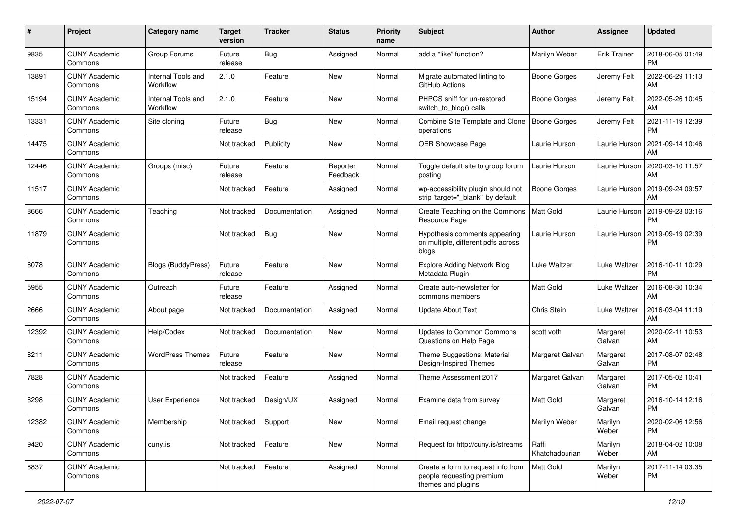| #     | Project                         | <b>Category name</b>           | <b>Target</b><br>version | <b>Tracker</b> | <b>Status</b>        | <b>Priority</b><br>name | <b>Subject</b>                                                                        | Author                  | <b>Assignee</b>     | <b>Updated</b>                |
|-------|---------------------------------|--------------------------------|--------------------------|----------------|----------------------|-------------------------|---------------------------------------------------------------------------------------|-------------------------|---------------------|-------------------------------|
| 9835  | <b>CUNY Academic</b><br>Commons | Group Forums                   | Future<br>release        | <b>Bug</b>     | Assigned             | Normal                  | add a "like" function?                                                                | Marilyn Weber           | <b>Erik Trainer</b> | 2018-06-05 01:49<br>PM        |
| 13891 | <b>CUNY Academic</b><br>Commons | Internal Tools and<br>Workflow | 2.1.0                    | Feature        | New                  | Normal                  | Migrate automated linting to<br>GitHub Actions                                        | Boone Gorges            | Jeremy Felt         | 2022-06-29 11:13<br>AM        |
| 15194 | <b>CUNY Academic</b><br>Commons | Internal Tools and<br>Workflow | 2.1.0                    | Feature        | New                  | Normal                  | PHPCS sniff for un-restored<br>switch_to_blog() calls                                 | Boone Gorges            | Jeremy Felt         | 2022-05-26 10:45<br>AM        |
| 13331 | <b>CUNY Academic</b><br>Commons | Site cloning                   | Future<br>release        | Bug            | New                  | Normal                  | Combine Site Template and Clone<br>operations                                         | <b>Boone Gorges</b>     | Jeremy Felt         | 2021-11-19 12:39<br><b>PM</b> |
| 14475 | <b>CUNY Academic</b><br>Commons |                                | Not tracked              | Publicity      | New                  | Normal                  | OER Showcase Page                                                                     | Laurie Hurson           | Laurie Hurson       | 2021-09-14 10:46<br>AM        |
| 12446 | <b>CUNY Academic</b><br>Commons | Groups (misc)                  | Future<br>release        | Feature        | Reporter<br>Feedback | Normal                  | Toggle default site to group forum<br>posting                                         | Laurie Hurson           | Laurie Hurson       | 2020-03-10 11:57<br>AM        |
| 11517 | <b>CUNY Academic</b><br>Commons |                                | Not tracked              | Feature        | Assigned             | Normal                  | wp-accessibility plugin should not<br>strip 'target=" blank" by default               | <b>Boone Gorges</b>     | Laurie Hurson       | 2019-09-24 09:57<br>AM        |
| 8666  | <b>CUNY Academic</b><br>Commons | Teaching                       | Not tracked              | Documentation  | Assigned             | Normal                  | Create Teaching on the Commons<br>Resource Page                                       | Matt Gold               | Laurie Hurson       | 2019-09-23 03:16<br><b>PM</b> |
| 11879 | <b>CUNY Academic</b><br>Commons |                                | Not tracked              | <b>Bug</b>     | New                  | Normal                  | Hypothesis comments appearing<br>on multiple, different pdfs across<br>blogs          | Laurie Hurson           | Laurie Hurson       | 2019-09-19 02:39<br><b>PM</b> |
| 6078  | <b>CUNY Academic</b><br>Commons | <b>Blogs (BuddyPress)</b>      | Future<br>release        | Feature        | New                  | Normal                  | <b>Explore Adding Network Blog</b><br>Metadata Plugin                                 | Luke Waltzer            | Luke Waltzer        | 2016-10-11 10:29<br><b>PM</b> |
| 5955  | <b>CUNY Academic</b><br>Commons | Outreach                       | Future<br>release        | Feature        | Assigned             | Normal                  | Create auto-newsletter for<br>commons members                                         | <b>Matt Gold</b>        | Luke Waltzer        | 2016-08-30 10:34<br>AM        |
| 2666  | <b>CUNY Academic</b><br>Commons | About page                     | Not tracked              | Documentation  | Assigned             | Normal                  | <b>Update About Text</b>                                                              | Chris Stein             | Luke Waltzer        | 2016-03-04 11:19<br>AM        |
| 12392 | <b>CUNY Academic</b><br>Commons | Help/Codex                     | Not tracked              | Documentation  | New                  | Normal                  | <b>Updates to Common Commons</b><br>Questions on Help Page                            | scott voth              | Margaret<br>Galvan  | 2020-02-11 10:53<br>AM        |
| 8211  | <b>CUNY Academic</b><br>Commons | <b>WordPress Themes</b>        | Future<br>release        | Feature        | New                  | Normal                  | Theme Suggestions: Material<br>Design-Inspired Themes                                 | Margaret Galvan         | Margaret<br>Galvan  | 2017-08-07 02:48<br><b>PM</b> |
| 7828  | <b>CUNY Academic</b><br>Commons |                                | Not tracked              | Feature        | Assigned             | Normal                  | Theme Assessment 2017                                                                 | Margaret Galvan         | Margaret<br>Galvan  | 2017-05-02 10:41<br><b>PM</b> |
| 6298  | <b>CUNY Academic</b><br>Commons | User Experience                | Not tracked              | Design/UX      | Assigned             | Normal                  | Examine data from survey                                                              | <b>Matt Gold</b>        | Margaret<br>Galvan  | 2016-10-14 12:16<br><b>PM</b> |
| 12382 | <b>CUNY Academic</b><br>Commons | Membership                     | Not tracked              | Support        | New                  | Normal                  | Email request change                                                                  | Marilyn Weber           | Marilyn<br>Weber    | 2020-02-06 12:56<br><b>PM</b> |
| 9420  | <b>CUNY Academic</b><br>Commons | cuny.is                        | Not tracked              | Feature        | New                  | Normal                  | Request for http://cuny.is/streams                                                    | Raffi<br>Khatchadourian | Marilyn<br>Weber    | 2018-04-02 10:08<br>AM        |
| 8837  | <b>CUNY Academic</b><br>Commons |                                | Not tracked              | Feature        | Assigned             | Normal                  | Create a form to request info from<br>people requesting premium<br>themes and plugins | Matt Gold               | Marilyn<br>Weber    | 2017-11-14 03:35<br><b>PM</b> |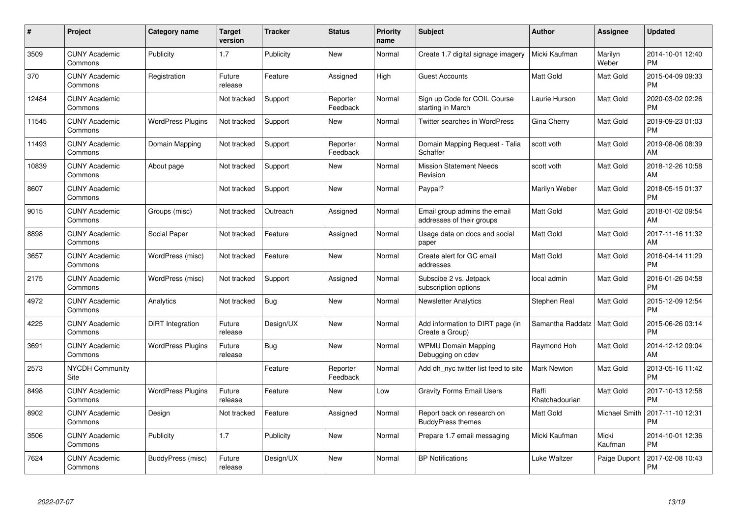| #     | <b>Project</b>                  | Category name            | <b>Target</b><br>version | <b>Tracker</b> | <b>Status</b>        | <b>Priority</b><br>name | <b>Subject</b>                                            | <b>Author</b>           | Assignee         | <b>Updated</b>                |
|-------|---------------------------------|--------------------------|--------------------------|----------------|----------------------|-------------------------|-----------------------------------------------------------|-------------------------|------------------|-------------------------------|
| 3509  | <b>CUNY Academic</b><br>Commons | Publicity                | 1.7                      | Publicity      | <b>New</b>           | Normal                  | Create 1.7 digital signage imagery                        | Micki Kaufman           | Marilyn<br>Weber | 2014-10-01 12:40<br><b>PM</b> |
| 370   | <b>CUNY Academic</b><br>Commons | Registration             | Future<br>release        | Feature        | Assigned             | High                    | <b>Guest Accounts</b>                                     | <b>Matt Gold</b>        | Matt Gold        | 2015-04-09 09:33<br><b>PM</b> |
| 12484 | <b>CUNY Academic</b><br>Commons |                          | Not tracked              | Support        | Reporter<br>Feedback | Normal                  | Sign up Code for COIL Course<br>starting in March         | Laurie Hurson           | Matt Gold        | 2020-03-02 02:26<br><b>PM</b> |
| 11545 | <b>CUNY Academic</b><br>Commons | <b>WordPress Plugins</b> | Not tracked              | Support        | New                  | Normal                  | <b>Twitter searches in WordPress</b>                      | Gina Cherry             | Matt Gold        | 2019-09-23 01:03<br><b>PM</b> |
| 11493 | <b>CUNY Academic</b><br>Commons | Domain Mapping           | Not tracked              | Support        | Reporter<br>Feedback | Normal                  | Domain Mapping Request - Talia<br>Schaffer                | scott voth              | Matt Gold        | 2019-08-06 08:39<br>AM        |
| 10839 | <b>CUNY Academic</b><br>Commons | About page               | Not tracked              | Support        | <b>New</b>           | Normal                  | <b>Mission Statement Needs</b><br>Revision                | scott voth              | Matt Gold        | 2018-12-26 10:58<br>AM        |
| 8607  | <b>CUNY Academic</b><br>Commons |                          | Not tracked              | Support        | <b>New</b>           | Normal                  | Paypal?                                                   | Marilyn Weber           | Matt Gold        | 2018-05-15 01:37<br><b>PM</b> |
| 9015  | <b>CUNY Academic</b><br>Commons | Groups (misc)            | Not tracked              | Outreach       | Assigned             | Normal                  | Email group admins the email<br>addresses of their groups | <b>Matt Gold</b>        | Matt Gold        | 2018-01-02 09:54<br>AM        |
| 8898  | <b>CUNY Academic</b><br>Commons | Social Paper             | Not tracked              | Feature        | Assigned             | Normal                  | Usage data on docs and social<br>paper                    | <b>Matt Gold</b>        | Matt Gold        | 2017-11-16 11:32<br>AM        |
| 3657  | <b>CUNY Academic</b><br>Commons | WordPress (misc)         | Not tracked              | Feature        | <b>New</b>           | Normal                  | Create alert for GC email<br>addresses                    | <b>Matt Gold</b>        | Matt Gold        | 2016-04-14 11:29<br><b>PM</b> |
| 2175  | <b>CUNY Academic</b><br>Commons | WordPress (misc)         | Not tracked              | Support        | Assigned             | Normal                  | Subscibe 2 vs. Jetpack<br>subscription options            | local admin             | Matt Gold        | 2016-01-26 04:58<br><b>PM</b> |
| 4972  | <b>CUNY Academic</b><br>Commons | Analytics                | Not tracked              | <b>Bug</b>     | New                  | Normal                  | <b>Newsletter Analytics</b>                               | Stephen Real            | Matt Gold        | 2015-12-09 12:54<br><b>PM</b> |
| 4225  | <b>CUNY Academic</b><br>Commons | DiRT Integration         | Future<br>release        | Design/UX      | New                  | Normal                  | Add information to DIRT page (in<br>Create a Group)       | Samantha Raddatz        | Matt Gold        | 2015-06-26 03:14<br><b>PM</b> |
| 3691  | <b>CUNY Academic</b><br>Commons | <b>WordPress Plugins</b> | Future<br>release        | Bug            | <b>New</b>           | Normal                  | <b>WPMU Domain Mapping</b><br>Debugging on cdev           | Raymond Hoh             | Matt Gold        | 2014-12-12 09:04<br>AM        |
| 2573  | <b>NYCDH Community</b><br>Site  |                          |                          | Feature        | Reporter<br>Feedback | Normal                  | Add dh nyc twitter list feed to site                      | Mark Newton             | Matt Gold        | 2013-05-16 11:42<br><b>PM</b> |
| 8498  | <b>CUNY Academic</b><br>Commons | <b>WordPress Plugins</b> | Future<br>release        | Feature        | New                  | Low                     | <b>Gravity Forms Email Users</b>                          | Raffi<br>Khatchadourian | Matt Gold        | 2017-10-13 12:58<br><b>PM</b> |
| 8902  | <b>CUNY Academic</b><br>Commons | Design                   | Not tracked              | Feature        | Assigned             | Normal                  | Report back on research on<br><b>BuddyPress themes</b>    | <b>Matt Gold</b>        | Michael Smith    | 2017-11-10 12:31<br><b>PM</b> |
| 3506  | <b>CUNY Academic</b><br>Commons | Publicity                | 1.7                      | Publicity      | <b>New</b>           | Normal                  | Prepare 1.7 email messaging                               | Micki Kaufman           | Micki<br>Kaufman | 2014-10-01 12:36<br><b>PM</b> |
| 7624  | <b>CUNY Academic</b><br>Commons | BuddyPress (misc)        | Future<br>release        | Design/UX      | <b>New</b>           | Normal                  | <b>BP Notifications</b>                                   | Luke Waltzer            | Paige Dupont     | 2017-02-08 10:43<br><b>PM</b> |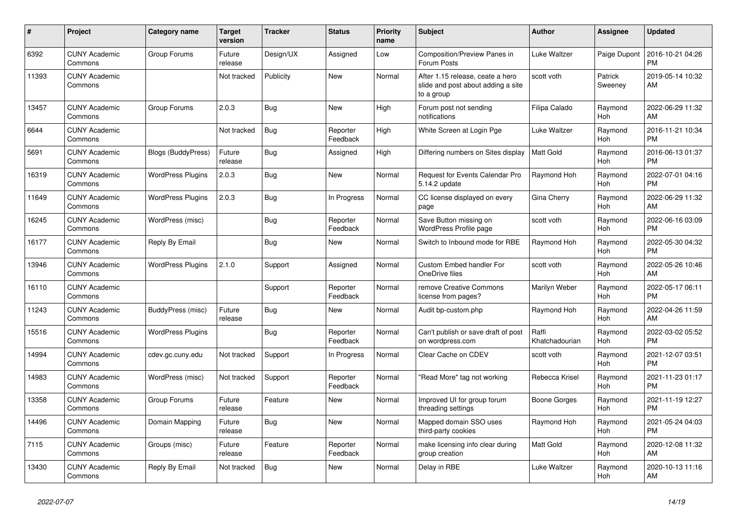| $\vert$ # | <b>Project</b>                  | Category name             | <b>Target</b><br>version | <b>Tracker</b> | <b>Status</b>        | <b>Priority</b><br>name | <b>Subject</b>                                                                       | Author                  | Assignee           | <b>Updated</b>                |
|-----------|---------------------------------|---------------------------|--------------------------|----------------|----------------------|-------------------------|--------------------------------------------------------------------------------------|-------------------------|--------------------|-------------------------------|
| 6392      | <b>CUNY Academic</b><br>Commons | Group Forums              | Future<br>release        | Design/UX      | Assigned             | Low                     | <b>Composition/Preview Panes in</b><br>Forum Posts                                   | Luke Waltzer            | Paige Dupont       | 2016-10-21 04:26<br><b>PM</b> |
| 11393     | <b>CUNY Academic</b><br>Commons |                           | Not tracked              | Publicity      | New                  | Normal                  | After 1.15 release, ceate a hero<br>slide and post about adding a site<br>to a group | scott voth              | Patrick<br>Sweeney | 2019-05-14 10:32<br>AM        |
| 13457     | <b>CUNY Academic</b><br>Commons | Group Forums              | 2.0.3                    | <b>Bug</b>     | <b>New</b>           | High                    | Forum post not sending<br>notifications                                              | Filipa Calado           | Raymond<br>Hoh     | 2022-06-29 11:32<br>AM        |
| 6644      | <b>CUNY Academic</b><br>Commons |                           | Not tracked              | <b>Bug</b>     | Reporter<br>Feedback | High                    | White Screen at Login Pge                                                            | Luke Waltzer            | Raymond<br>Hoh     | 2016-11-21 10:34<br><b>PM</b> |
| 5691      | <b>CUNY Academic</b><br>Commons | <b>Blogs (BuddyPress)</b> | Future<br>release        | Bug            | Assigned             | High                    | Differing numbers on Sites display                                                   | <b>Matt Gold</b>        | Raymond<br>Hoh     | 2016-06-13 01:37<br><b>PM</b> |
| 16319     | <b>CUNY Academic</b><br>Commons | <b>WordPress Plugins</b>  | 2.0.3                    | Bug            | New                  | Normal                  | Request for Events Calendar Pro<br>5.14.2 update                                     | Raymond Hoh             | Raymond<br>Hoh     | 2022-07-01 04:16<br><b>PM</b> |
| 11649     | <b>CUNY Academic</b><br>Commons | <b>WordPress Plugins</b>  | 2.0.3                    | <b>Bug</b>     | In Progress          | Normal                  | CC license displayed on every<br>page                                                | Gina Cherry             | Raymond<br>Hoh     | 2022-06-29 11:32<br>AM        |
| 16245     | <b>CUNY Academic</b><br>Commons | WordPress (misc)          |                          | Bug            | Reporter<br>Feedback | Normal                  | Save Button missing on<br>WordPress Profile page                                     | scott voth              | Raymond<br>Hoh     | 2022-06-16 03:09<br><b>PM</b> |
| 16177     | <b>CUNY Academic</b><br>Commons | Reply By Email            |                          | <b>Bug</b>     | New                  | Normal                  | Switch to Inbound mode for RBE                                                       | Raymond Hoh             | Raymond<br>Hoh     | 2022-05-30 04:32<br><b>PM</b> |
| 13946     | <b>CUNY Academic</b><br>Commons | <b>WordPress Plugins</b>  | 2.1.0                    | Support        | Assigned             | Normal                  | <b>Custom Embed handler For</b><br>OneDrive files                                    | scott voth              | Raymond<br>Hoh     | 2022-05-26 10:46<br>AM        |
| 16110     | <b>CUNY Academic</b><br>Commons |                           |                          | Support        | Reporter<br>Feedback | Normal                  | remove Creative Commons<br>license from pages?                                       | Marilyn Weber           | Raymond<br>Hoh     | 2022-05-17 06:11<br><b>PM</b> |
| 11243     | <b>CUNY Academic</b><br>Commons | BuddyPress (misc)         | Future<br>release        | Bug            | New                  | Normal                  | Audit bp-custom.php                                                                  | Raymond Hoh             | Raymond<br>Hoh     | 2022-04-26 11:59<br>AM        |
| 15516     | <b>CUNY Academic</b><br>Commons | <b>WordPress Plugins</b>  |                          | <b>Bug</b>     | Reporter<br>Feedback | Normal                  | Can't publish or save draft of post<br>on wordpress.com                              | Raffi<br>Khatchadourian | Raymond<br>Hoh     | 2022-03-02 05:52<br>PM        |
| 14994     | <b>CUNY Academic</b><br>Commons | cdev.gc.cuny.edu          | Not tracked              | Support        | In Progress          | Normal                  | Clear Cache on CDEV                                                                  | scott voth              | Raymond<br>Hoh     | 2021-12-07 03:51<br><b>PM</b> |
| 14983     | <b>CUNY Academic</b><br>Commons | WordPress (misc)          | Not tracked              | Support        | Reporter<br>Feedback | Normal                  | "Read More" tag not working                                                          | Rebecca Krisel          | Raymond<br>Hoh     | 2021-11-23 01:17<br><b>PM</b> |
| 13358     | <b>CUNY Academic</b><br>Commons | Group Forums              | Future<br>release        | Feature        | <b>New</b>           | Normal                  | Improved UI for group forum<br>threading settings                                    | <b>Boone Gorges</b>     | Raymond<br>Hoh     | 2021-11-19 12:27<br><b>PM</b> |
| 14496     | <b>CUNY Academic</b><br>Commons | Domain Mapping            | Future<br>release        | Bug            | <b>New</b>           | Normal                  | Mapped domain SSO uses<br>third-party cookies                                        | Raymond Hoh             | Raymond<br>Hoh     | 2021-05-24 04:03<br><b>PM</b> |
| 7115      | <b>CUNY Academic</b><br>Commons | Groups (misc)             | Future<br>release        | Feature        | Reporter<br>Feedback | Normal                  | make licensing info clear during<br>group creation                                   | <b>Matt Gold</b>        | Raymond<br>Hoh     | 2020-12-08 11:32<br>AM        |
| 13430     | <b>CUNY Academic</b><br>Commons | Reply By Email            | Not tracked              | <b>Bug</b>     | <b>New</b>           | Normal                  | Delay in RBE                                                                         | Luke Waltzer            | Raymond<br>Hoh     | 2020-10-13 11:16<br>AM        |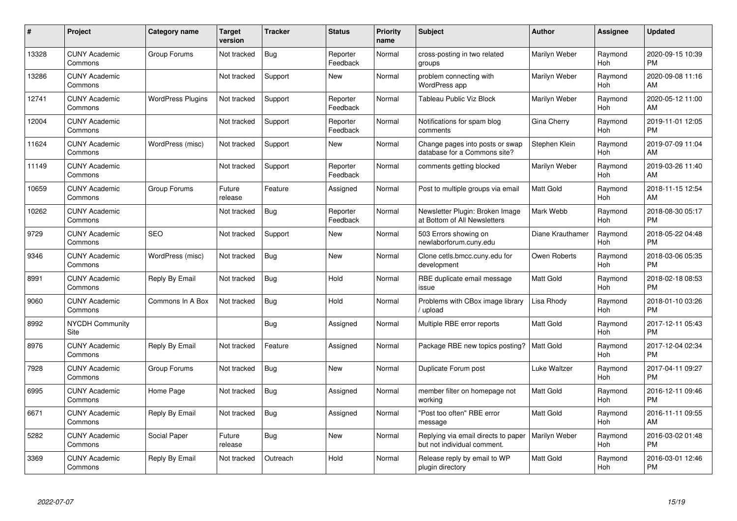| #     | <b>Project</b>                  | <b>Category name</b>     | <b>Target</b><br>version | <b>Tracker</b> | <b>Status</b>        | <b>Priority</b><br>name | <b>Subject</b>                                                     | <b>Author</b>    | <b>Assignee</b> | <b>Updated</b>                |
|-------|---------------------------------|--------------------------|--------------------------|----------------|----------------------|-------------------------|--------------------------------------------------------------------|------------------|-----------------|-------------------------------|
| 13328 | <b>CUNY Academic</b><br>Commons | Group Forums             | Not tracked              | <b>Bug</b>     | Reporter<br>Feedback | Normal                  | cross-posting in two related<br>groups                             | Marilyn Weber    | Raymond<br>Hoh  | 2020-09-15 10:39<br><b>PM</b> |
| 13286 | <b>CUNY Academic</b><br>Commons |                          | Not tracked              | Support        | New                  | Normal                  | problem connecting with<br><b>WordPress app</b>                    | Marilyn Weber    | Raymond<br>Hoh  | 2020-09-08 11:16<br>AM        |
| 12741 | <b>CUNY Academic</b><br>Commons | <b>WordPress Plugins</b> | Not tracked              | Support        | Reporter<br>Feedback | Normal                  | Tableau Public Viz Block                                           | Marilyn Weber    | Raymond<br>Hoh  | 2020-05-12 11:00<br>AM        |
| 12004 | <b>CUNY Academic</b><br>Commons |                          | Not tracked              | Support        | Reporter<br>Feedback | Normal                  | Notifications for spam blog<br>comments                            | Gina Cherry      | Raymond<br>Hoh  | 2019-11-01 12:05<br><b>PM</b> |
| 11624 | <b>CUNY Academic</b><br>Commons | WordPress (misc)         | Not tracked              | Support        | <b>New</b>           | Normal                  | Change pages into posts or swap<br>database for a Commons site?    | Stephen Klein    | Raymond<br>Hoh  | 2019-07-09 11:04<br>AM        |
| 11149 | <b>CUNY Academic</b><br>Commons |                          | Not tracked              | Support        | Reporter<br>Feedback | Normal                  | comments getting blocked                                           | Marilyn Weber    | Raymond<br>Hoh  | 2019-03-26 11:40<br>AM        |
| 10659 | <b>CUNY Academic</b><br>Commons | Group Forums             | Future<br>release        | Feature        | Assigned             | Normal                  | Post to multiple groups via email                                  | <b>Matt Gold</b> | Raymond<br>Hoh  | 2018-11-15 12:54<br>AM        |
| 10262 | <b>CUNY Academic</b><br>Commons |                          | Not tracked              | Bug            | Reporter<br>Feedback | Normal                  | Newsletter Plugin: Broken Image<br>at Bottom of All Newsletters    | Mark Webb        | Raymond<br>Hoh  | 2018-08-30 05:17<br><b>PM</b> |
| 9729  | <b>CUNY Academic</b><br>Commons | <b>SEO</b>               | Not tracked              | Support        | <b>New</b>           | Normal                  | 503 Errors showing on<br>newlaborforum.cuny.edu                    | Diane Krauthamer | Raymond<br>Hoh  | 2018-05-22 04:48<br><b>PM</b> |
| 9346  | <b>CUNY Academic</b><br>Commons | WordPress (misc)         | Not tracked              | Bug            | <b>New</b>           | Normal                  | Clone cetls.bmcc.cuny.edu for<br>development                       | Owen Roberts     | Raymond<br>Hoh  | 2018-03-06 05:35<br><b>PM</b> |
| 8991  | <b>CUNY Academic</b><br>Commons | Reply By Email           | Not tracked              | <b>Bug</b>     | Hold                 | Normal                  | RBE duplicate email message<br>issue                               | <b>Matt Gold</b> | Raymond<br>Hoh  | 2018-02-18 08:53<br><b>PM</b> |
| 9060  | <b>CUNY Academic</b><br>Commons | Commons In A Box         | Not tracked              | <b>Bug</b>     | Hold                 | Normal                  | Problems with CBox image library<br>/ upload                       | Lisa Rhody       | Raymond<br>Hoh  | 2018-01-10 03:26<br><b>PM</b> |
| 8992  | <b>NYCDH Community</b><br>Site  |                          |                          | <b>Bug</b>     | Assigned             | Normal                  | Multiple RBE error reports                                         | <b>Matt Gold</b> | Raymond<br>Hoh  | 2017-12-11 05:43<br><b>PM</b> |
| 8976  | <b>CUNY Academic</b><br>Commons | Reply By Email           | Not tracked              | Feature        | Assigned             | Normal                  | Package RBE new topics posting?                                    | <b>Matt Gold</b> | Raymond<br>Hoh  | 2017-12-04 02:34<br><b>PM</b> |
| 7928  | <b>CUNY Academic</b><br>Commons | Group Forums             | Not tracked              | <b>Bug</b>     | New                  | Normal                  | Duplicate Forum post                                               | Luke Waltzer     | Raymond<br>Hoh  | 2017-04-11 09:27<br><b>PM</b> |
| 6995  | <b>CUNY Academic</b><br>Commons | Home Page                | Not tracked              | Bug            | Assigned             | Normal                  | member filter on homepage not<br>working                           | <b>Matt Gold</b> | Raymond<br>Hoh  | 2016-12-11 09:46<br><b>PM</b> |
| 6671  | <b>CUNY Academic</b><br>Commons | Reply By Email           | Not tracked              | <b>Bug</b>     | Assigned             | Normal                  | "Post too often" RBE error<br>message                              | <b>Matt Gold</b> | Raymond<br>Hoh  | 2016-11-11 09:55<br>AM        |
| 5282  | <b>CUNY Academic</b><br>Commons | Social Paper             | Future<br>release        | Bug            | New                  | Normal                  | Replying via email directs to paper<br>but not individual comment. | Marilyn Weber    | Raymond<br>Hoh  | 2016-03-02 01:48<br><b>PM</b> |
| 3369  | <b>CUNY Academic</b><br>Commons | Reply By Email           | Not tracked              | Outreach       | Hold                 | Normal                  | Release reply by email to WP<br>plugin directory                   | <b>Matt Gold</b> | Raymond<br>Hoh  | 2016-03-01 12:46<br><b>PM</b> |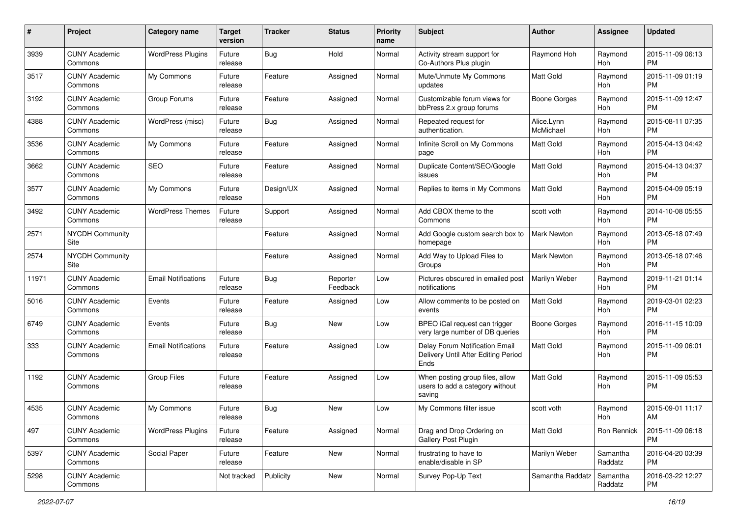| #     | Project                         | <b>Category name</b>       | <b>Target</b><br>version | <b>Tracker</b> | <b>Status</b>        | <b>Priority</b><br>name | Subject                                                                       | Author                  | Assignee            | <b>Updated</b>                |
|-------|---------------------------------|----------------------------|--------------------------|----------------|----------------------|-------------------------|-------------------------------------------------------------------------------|-------------------------|---------------------|-------------------------------|
| 3939  | <b>CUNY Academic</b><br>Commons | <b>WordPress Plugins</b>   | Future<br>release        | Bug            | Hold                 | Normal                  | Activity stream support for<br>Co-Authors Plus plugin                         | Raymond Hoh             | Raymond<br>Hoh      | 2015-11-09 06:13<br>PM        |
| 3517  | <b>CUNY Academic</b><br>Commons | My Commons                 | Future<br>release        | Feature        | Assigned             | Normal                  | Mute/Unmute My Commons<br>updates                                             | <b>Matt Gold</b>        | Raymond<br>Hoh      | 2015-11-09 01:19<br><b>PM</b> |
| 3192  | <b>CUNY Academic</b><br>Commons | Group Forums               | Future<br>release        | Feature        | Assigned             | Normal                  | Customizable forum views for<br>bbPress 2.x group forums                      | Boone Gorges            | Raymond<br>Hoh      | 2015-11-09 12:47<br>PM        |
| 4388  | <b>CUNY Academic</b><br>Commons | WordPress (misc)           | Future<br>release        | <b>Bug</b>     | Assigned             | Normal                  | Repeated request for<br>authentication.                                       | Alice.Lynn<br>McMichael | Raymond<br>Hoh      | 2015-08-11 07:35<br>PM        |
| 3536  | <b>CUNY Academic</b><br>Commons | My Commons                 | Future<br>release        | Feature        | Assigned             | Normal                  | Infinite Scroll on My Commons<br>page                                         | <b>Matt Gold</b>        | Raymond<br>Hoh      | 2015-04-13 04:42<br><b>PM</b> |
| 3662  | <b>CUNY Academic</b><br>Commons | <b>SEO</b>                 | Future<br>release        | Feature        | Assigned             | Normal                  | Duplicate Content/SEO/Google<br>issues                                        | Matt Gold               | Raymond<br>Hoh      | 2015-04-13 04:37<br>PM        |
| 3577  | <b>CUNY Academic</b><br>Commons | My Commons                 | Future<br>release        | Design/UX      | Assigned             | Normal                  | Replies to items in My Commons                                                | Matt Gold               | Raymond<br>Hoh      | 2015-04-09 05:19<br><b>PM</b> |
| 3492  | <b>CUNY Academic</b><br>Commons | <b>WordPress Themes</b>    | Future<br>release        | Support        | Assigned             | Normal                  | Add CBOX theme to the<br>Commons                                              | scott voth              | Raymond<br>Hoh      | 2014-10-08 05:55<br>PM        |
| 2571  | <b>NYCDH Community</b><br>Site  |                            |                          | Feature        | Assigned             | Normal                  | Add Google custom search box to<br>homepage                                   | <b>Mark Newton</b>      | Raymond<br>Hoh      | 2013-05-18 07:49<br><b>PM</b> |
| 2574  | <b>NYCDH Community</b><br>Site  |                            |                          | Feature        | Assigned             | Normal                  | Add Way to Upload Files to<br>Groups                                          | Mark Newton             | Raymond<br>Hoh      | 2013-05-18 07:46<br>PM        |
| 11971 | <b>CUNY Academic</b><br>Commons | <b>Email Notifications</b> | Future<br>release        | <b>Bug</b>     | Reporter<br>Feedback | Low                     | Pictures obscured in emailed post<br>notifications                            | Marilyn Weber           | Raymond<br>Hoh      | 2019-11-21 01:14<br>PM        |
| 5016  | <b>CUNY Academic</b><br>Commons | Events                     | Future<br>release        | Feature        | Assigned             | Low                     | Allow comments to be posted on<br>events                                      | <b>Matt Gold</b>        | Raymond<br>Hoh      | 2019-03-01 02:23<br>PM        |
| 6749  | <b>CUNY Academic</b><br>Commons | Events                     | Future<br>release        | <b>Bug</b>     | New                  | Low                     | BPEO iCal request can trigger<br>very large number of DB queries              | Boone Gorges            | Raymond<br>Hoh      | 2016-11-15 10:09<br><b>PM</b> |
| 333   | <b>CUNY Academic</b><br>Commons | <b>Email Notifications</b> | Future<br>release        | Feature        | Assigned             | Low                     | Delay Forum Notification Email<br>Delivery Until After Editing Period<br>Ends | <b>Matt Gold</b>        | Raymond<br>Hoh      | 2015-11-09 06:01<br>PM        |
| 1192  | <b>CUNY Academic</b><br>Commons | <b>Group Files</b>         | Future<br>release        | Feature        | Assigned             | Low                     | When posting group files, allow<br>users to add a category without<br>saving  | <b>Matt Gold</b>        | Raymond<br>Hoh      | 2015-11-09 05:53<br>PM        |
| 4535  | <b>CUNY Academic</b><br>Commons | My Commons                 | Future<br>release        | <b>Bug</b>     | New                  | Low                     | My Commons filter issue                                                       | scott voth              | Raymond<br>Hoh      | 2015-09-01 11:17<br>AM        |
| 497   | <b>CUNY Academic</b><br>Commons | <b>WordPress Plugins</b>   | Future<br>release        | Feature        | Assigned             | Normal                  | Drag and Drop Ordering on<br>Gallery Post Plugin                              | Matt Gold               | Ron Rennick         | 2015-11-09 06:18<br><b>PM</b> |
| 5397  | <b>CUNY Academic</b><br>Commons | Social Paper               | Future<br>release        | Feature        | New                  | Normal                  | frustrating to have to<br>enable/disable in SP                                | Marilyn Weber           | Samantha<br>Raddatz | 2016-04-20 03:39<br><b>PM</b> |
| 5298  | <b>CUNY Academic</b><br>Commons |                            | Not tracked              | Publicity      | New                  | Normal                  | Survey Pop-Up Text                                                            | Samantha Raddatz        | Samantha<br>Raddatz | 2016-03-22 12:27<br>PM        |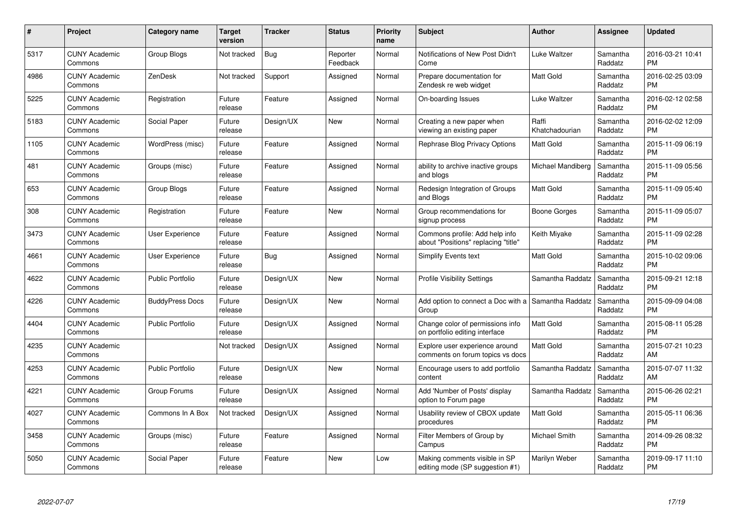| $\#$ | Project                         | <b>Category name</b>    | <b>Target</b><br>version | <b>Tracker</b> | <b>Status</b>        | <b>Priority</b><br>name | <b>Subject</b>                                                        | <b>Author</b>           | <b>Assignee</b>     | <b>Updated</b>                |
|------|---------------------------------|-------------------------|--------------------------|----------------|----------------------|-------------------------|-----------------------------------------------------------------------|-------------------------|---------------------|-------------------------------|
| 5317 | <b>CUNY Academic</b><br>Commons | <b>Group Blogs</b>      | Not tracked              | Bug            | Reporter<br>Feedback | Normal                  | Notifications of New Post Didn't<br>Come                              | Luke Waltzer            | Samantha<br>Raddatz | 2016-03-21 10:41<br><b>PM</b> |
| 4986 | <b>CUNY Academic</b><br>Commons | ZenDesk                 | Not tracked              | Support        | Assigned             | Normal                  | Prepare documentation for<br>Zendesk re web widget                    | <b>Matt Gold</b>        | Samantha<br>Raddatz | 2016-02-25 03:09<br><b>PM</b> |
| 5225 | <b>CUNY Academic</b><br>Commons | Registration            | Future<br>release        | Feature        | Assigned             | Normal                  | On-boarding Issues                                                    | Luke Waltzer            | Samantha<br>Raddatz | 2016-02-12 02:58<br><b>PM</b> |
| 5183 | <b>CUNY Academic</b><br>Commons | Social Paper            | Future<br>release        | Design/UX      | <b>New</b>           | Normal                  | Creating a new paper when<br>viewing an existing paper                | Raffi<br>Khatchadourian | Samantha<br>Raddatz | 2016-02-02 12:09<br><b>PM</b> |
| 1105 | <b>CUNY Academic</b><br>Commons | WordPress (misc)        | Future<br>release        | Feature        | Assigned             | Normal                  | Rephrase Blog Privacy Options                                         | <b>Matt Gold</b>        | Samantha<br>Raddatz | 2015-11-09 06:19<br><b>PM</b> |
| 481  | <b>CUNY Academic</b><br>Commons | Groups (misc)           | Future<br>release        | Feature        | Assigned             | Normal                  | ability to archive inactive groups<br>and blogs                       | Michael Mandiberg       | Samantha<br>Raddatz | 2015-11-09 05:56<br><b>PM</b> |
| 653  | <b>CUNY Academic</b><br>Commons | <b>Group Blogs</b>      | Future<br>release        | Feature        | Assigned             | Normal                  | Redesign Integration of Groups<br>and Blogs                           | <b>Matt Gold</b>        | Samantha<br>Raddatz | 2015-11-09 05:40<br><b>PM</b> |
| 308  | <b>CUNY Academic</b><br>Commons | Registration            | Future<br>release        | Feature        | <b>New</b>           | Normal                  | Group recommendations for<br>signup process                           | Boone Gorges            | Samantha<br>Raddatz | 2015-11-09 05:07<br><b>PM</b> |
| 3473 | <b>CUNY Academic</b><br>Commons | <b>User Experience</b>  | Future<br>release        | Feature        | Assigned             | Normal                  | Commons profile: Add help info<br>about "Positions" replacing "title" | Keith Miyake            | Samantha<br>Raddatz | 2015-11-09 02:28<br><b>PM</b> |
| 4661 | <b>CUNY Academic</b><br>Commons | <b>User Experience</b>  | Future<br>release        | <b>Bug</b>     | Assigned             | Normal                  | <b>Simplify Events text</b>                                           | Matt Gold               | Samantha<br>Raddatz | 2015-10-02 09:06<br>PM        |
| 4622 | <b>CUNY Academic</b><br>Commons | <b>Public Portfolio</b> | Future<br>release        | Design/UX      | New                  | Normal                  | <b>Profile Visibility Settings</b>                                    | Samantha Raddatz        | Samantha<br>Raddatz | 2015-09-21 12:18<br><b>PM</b> |
| 4226 | <b>CUNY Academic</b><br>Commons | <b>BuddyPress Docs</b>  | Future<br>release        | Design/UX      | New                  | Normal                  | Add option to connect a Doc with a<br>Group                           | Samantha Raddatz        | Samantha<br>Raddatz | 2015-09-09 04:08<br><b>PM</b> |
| 4404 | <b>CUNY Academic</b><br>Commons | <b>Public Portfolio</b> | Future<br>release        | Design/UX      | Assigned             | Normal                  | Change color of permissions info<br>on portfolio editing interface    | <b>Matt Gold</b>        | Samantha<br>Raddatz | 2015-08-11 05:28<br><b>PM</b> |
| 4235 | <b>CUNY Academic</b><br>Commons |                         | Not tracked              | Design/UX      | Assigned             | Normal                  | Explore user experience around<br>comments on forum topics vs docs    | Matt Gold               | Samantha<br>Raddatz | 2015-07-21 10:23<br>AM        |
| 4253 | <b>CUNY Academic</b><br>Commons | <b>Public Portfolio</b> | Future<br>release        | Design/UX      | New                  | Normal                  | Encourage users to add portfolio<br>content                           | Samantha Raddatz        | Samantha<br>Raddatz | 2015-07-07 11:32<br>AM        |
| 4221 | <b>CUNY Academic</b><br>Commons | Group Forums            | Future<br>release        | Design/UX      | Assigned             | Normal                  | Add 'Number of Posts' display<br>option to Forum page                 | Samantha Raddatz        | Samantha<br>Raddatz | 2015-06-26 02:21<br><b>PM</b> |
| 4027 | <b>CUNY Academic</b><br>Commons | Commons In A Box        | Not tracked              | Design/UX      | Assigned             | Normal                  | Usability review of CBOX update<br>procedures                         | <b>Matt Gold</b>        | Samantha<br>Raddatz | 2015-05-11 06:36<br><b>PM</b> |
| 3458 | <b>CUNY Academic</b><br>Commons | Groups (misc)           | Future<br>release        | Feature        | Assigned             | Normal                  | Filter Members of Group by<br>Campus                                  | Michael Smith           | Samantha<br>Raddatz | 2014-09-26 08:32<br><b>PM</b> |
| 5050 | <b>CUNY Academic</b><br>Commons | Social Paper            | Future<br>release        | Feature        | <b>New</b>           | Low                     | Making comments visible in SP<br>editing mode (SP suggestion #1)      | Marilyn Weber           | Samantha<br>Raddatz | 2019-09-17 11:10<br><b>PM</b> |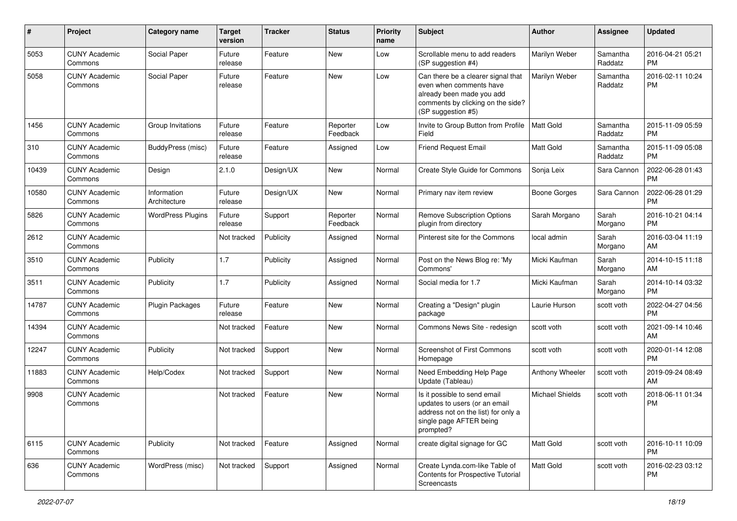| #     | Project                         | <b>Category name</b>        | <b>Target</b><br>version | <b>Tracker</b> | <b>Status</b>        | Priority<br>name | <b>Subject</b>                                                                                                                                        | Author                 | <b>Assignee</b>     | <b>Updated</b>                |
|-------|---------------------------------|-----------------------------|--------------------------|----------------|----------------------|------------------|-------------------------------------------------------------------------------------------------------------------------------------------------------|------------------------|---------------------|-------------------------------|
| 5053  | <b>CUNY Academic</b><br>Commons | Social Paper                | Future<br>release        | Feature        | New                  | Low              | Scrollable menu to add readers<br>(SP suggestion #4)                                                                                                  | Marilyn Weber          | Samantha<br>Raddatz | 2016-04-21 05:21<br><b>PM</b> |
| 5058  | <b>CUNY Academic</b><br>Commons | Social Paper                | Future<br>release        | Feature        | New                  | Low              | Can there be a clearer signal that<br>even when comments have<br>already been made you add<br>comments by clicking on the side?<br>(SP suggestion #5) | Marilyn Weber          | Samantha<br>Raddatz | 2016-02-11 10:24<br><b>PM</b> |
| 1456  | <b>CUNY Academic</b><br>Commons | Group Invitations           | Future<br>release        | Feature        | Reporter<br>Feedback | Low              | Invite to Group Button from Profile<br>Field                                                                                                          | Matt Gold              | Samantha<br>Raddatz | 2015-11-09 05:59<br><b>PM</b> |
| 310   | <b>CUNY Academic</b><br>Commons | BuddyPress (misc)           | Future<br>release        | Feature        | Assigned             | Low              | <b>Friend Request Email</b>                                                                                                                           | <b>Matt Gold</b>       | Samantha<br>Raddatz | 2015-11-09 05:08<br>PM        |
| 10439 | <b>CUNY Academic</b><br>Commons | Design                      | 2.1.0                    | Design/UX      | <b>New</b>           | Normal           | Create Style Guide for Commons                                                                                                                        | Sonja Leix             | Sara Cannon         | 2022-06-28 01:43<br><b>PM</b> |
| 10580 | <b>CUNY Academic</b><br>Commons | Information<br>Architecture | Future<br>release        | Design/UX      | New                  | Normal           | Primary nav item review                                                                                                                               | <b>Boone Gorges</b>    | Sara Cannon         | 2022-06-28 01:29<br>PM        |
| 5826  | <b>CUNY Academic</b><br>Commons | <b>WordPress Plugins</b>    | Future<br>release        | Support        | Reporter<br>Feedback | Normal           | Remove Subscription Options<br>plugin from directory                                                                                                  | Sarah Morgano          | Sarah<br>Morgano    | 2016-10-21 04:14<br><b>PM</b> |
| 2612  | <b>CUNY Academic</b><br>Commons |                             | Not tracked              | Publicity      | Assigned             | Normal           | Pinterest site for the Commons                                                                                                                        | local admin            | Sarah<br>Morgano    | 2016-03-04 11:19<br>AM        |
| 3510  | <b>CUNY Academic</b><br>Commons | Publicity                   | 1.7                      | Publicity      | Assigned             | Normal           | Post on the News Blog re: 'My<br>Commons'                                                                                                             | Micki Kaufman          | Sarah<br>Morgano    | 2014-10-15 11:18<br>AM        |
| 3511  | <b>CUNY Academic</b><br>Commons | Publicity                   | 1.7                      | Publicity      | Assigned             | Normal           | Social media for 1.7                                                                                                                                  | Micki Kaufman          | Sarah<br>Morgano    | 2014-10-14 03:32<br><b>PM</b> |
| 14787 | <b>CUNY Academic</b><br>Commons | <b>Plugin Packages</b>      | Future<br>release        | Feature        | <b>New</b>           | Normal           | Creating a "Design" plugin<br>package                                                                                                                 | Laurie Hurson          | scott voth          | 2022-04-27 04:56<br>PM        |
| 14394 | <b>CUNY Academic</b><br>Commons |                             | Not tracked              | Feature        | <b>New</b>           | Normal           | Commons News Site - redesign                                                                                                                          | scott voth             | scott voth          | 2021-09-14 10:46<br>AM        |
| 12247 | <b>CUNY Academic</b><br>Commons | Publicity                   | Not tracked              | Support        | New                  | Normal           | <b>Screenshot of First Commons</b><br>Homepage                                                                                                        | scott voth             | scott voth          | 2020-01-14 12:08<br><b>PM</b> |
| 11883 | <b>CUNY Academic</b><br>Commons | Help/Codex                  | Not tracked              | Support        | <b>New</b>           | Normal           | Need Embedding Help Page<br>Update (Tableau)                                                                                                          | Anthony Wheeler        | scott voth          | 2019-09-24 08:49<br>AM        |
| 9908  | <b>CUNY Academic</b><br>Commons |                             | Not tracked              | Feature        | <b>New</b>           | Normal           | Is it possible to send email<br>updates to users (or an email<br>address not on the list) for only a<br>single page AFTER being<br>prompted?          | <b>Michael Shields</b> | scott voth          | 2018-06-11 01:34<br><b>PM</b> |
| 6115  | <b>CUNY Academic</b><br>Commons | Publicity                   | Not tracked              | Feature        | Assigned             | Normal           | create digital signage for GC                                                                                                                         | Matt Gold              | scott voth          | 2016-10-11 10:09<br>PM        |
| 636   | <b>CUNY Academic</b><br>Commons | WordPress (misc)            | Not tracked              | Support        | Assigned             | Normal           | Create Lynda.com-like Table of<br>Contents for Prospective Tutorial<br>Screencasts                                                                    | Matt Gold              | scott voth          | 2016-02-23 03:12<br><b>PM</b> |